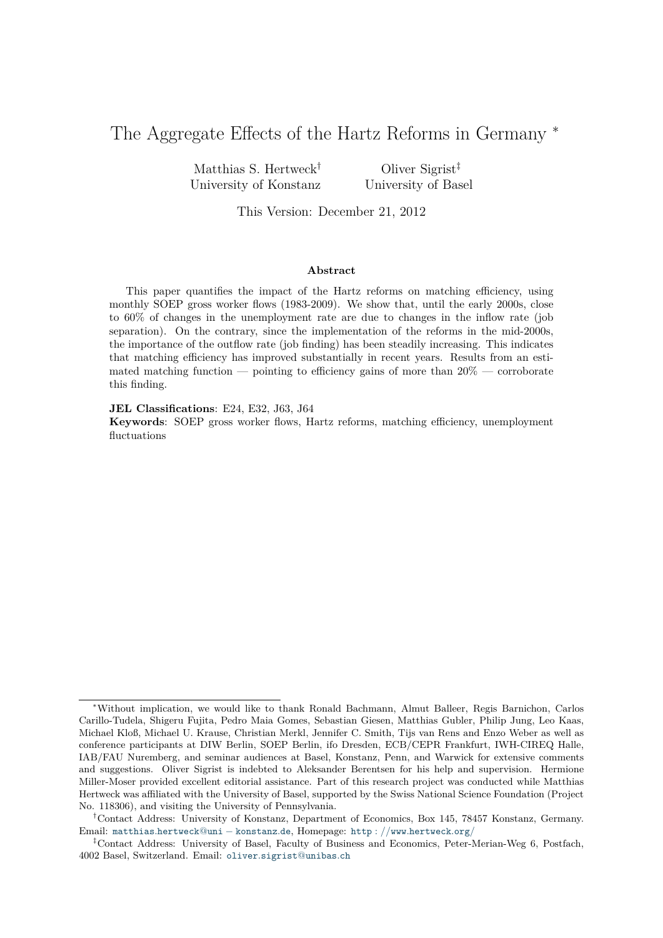# The Aggregate Effects of the Hartz Reforms in Germany <sup>\*</sup>

Matthias S. Hertweck† University of Konstanz

Oliver Sigrist‡ University of Basel

This Version: December 21, 2012

#### **Abstract**

This paper quantifies the impact of the Hartz reforms on matching efficiency, using monthly SOEP gross worker flows (1983-2009). We show that, until the early 2000s, close to 60% of changes in the unemployment rate are due to changes in the inflow rate (job separation). On the contrary, since the implementation of the reforms in the mid-2000s, the importance of the outflow rate (job finding) has been steadily increasing. This indicates that matching efficiency has improved substantially in recent years. Results from an estimated matching function — pointing to efficiency gains of more than  $20\%$  — corroborate this finding.

**JEL Classifications**: E24, E32, J63, J64

**Keywords**: SOEP gross worker flows, Hartz reforms, matching efficiency, unemployment fluctuations

<sup>∗</sup>Without implication, we would like to thank Ronald Bachmann, Almut Balleer, Regis Barnichon, Carlos Carillo-Tudela, Shigeru Fujita, Pedro Maia Gomes, Sebastian Giesen, Matthias Gubler, Philip Jung, Leo Kaas, Michael Kloß, Michael U. Krause, Christian Merkl, Jennifer C. Smith, Tijs van Rens and Enzo Weber as well as conference participants at DIW Berlin, SOEP Berlin, ifo Dresden, ECB/CEPR Frankfurt, IWH-CIREQ Halle, IAB/FAU Nuremberg, and seminar audiences at Basel, Konstanz, Penn, and Warwick for extensive comments and suggestions. Oliver Sigrist is indebted to Aleksander Berentsen for his help and supervision. Hermione Miller-Moser provided excellent editorial assistance. Part of this research project was conducted while Matthias Hertweck was affiliated with the University of Basel, supported by the Swiss National Science Foundation (Project No. 118306), and visiting the University of Pennsylvania.

<sup>†</sup>Contact Address: University of Konstanz, Department of Economics, Box 145, 78457 Konstanz, Germany. Email: matthias*.*hertweck@uni − [konstanz](mailto:matthias.hertweck@uni-konstanz.de)*.*de, Homepage: http : *//*www*.*[hertweck](http://www.hertweck.org/)*.*org*/*

<sup>‡</sup>Contact Address: University of Basel, Faculty of Business and Economics, Peter-Merian-Weg 6, Postfach, 4002 Basel, Switzerland. Email: oliver*.*[sigrist](mailto:oliver.sigrist@unibas.ch)@unibas*.*ch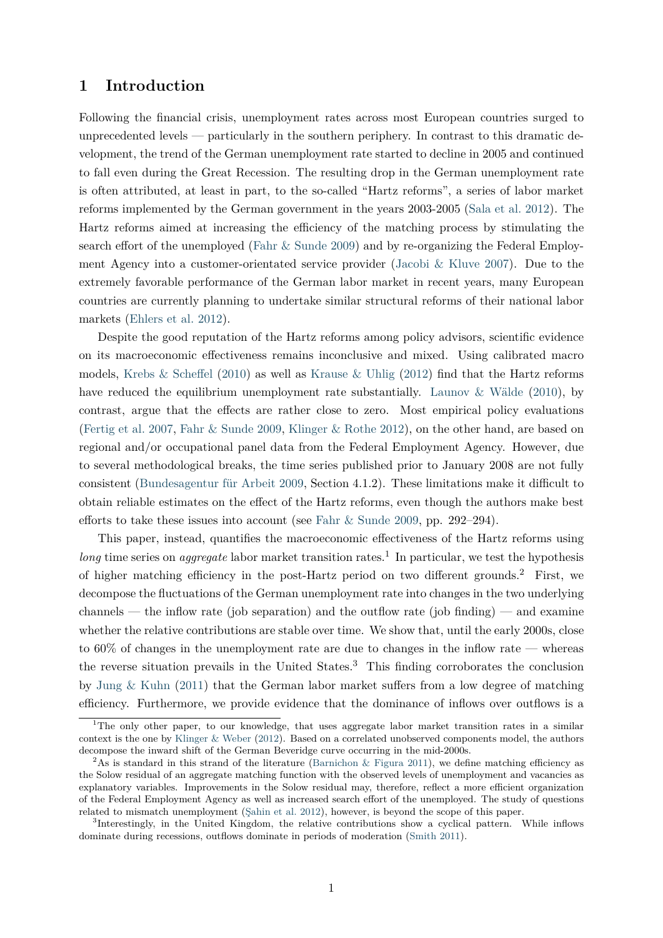# **1 Introduction**

Following the financial crisis, unemployment rates across most European countries surged to unprecedented levels — particularly in the southern periphery. In contrast to this dramatic development, the trend of the German unemployment rate started to decline in 2005 and continued to fall even during the Great Recession. The resulting drop in the German unemployment rate is often attributed, at least in part, to the so-called "Hartz reforms", a series of labor market reforms implemented by the German government in the years 2003-2005 [\(Sala et al.](#page-24-0) [2012\)](#page-24-0). The Hartz reforms aimed at increasing the efficiency of the matching process by stimulating the search effort of the unemployed [\(Fahr & Sunde](#page-22-0) [2009\)](#page-22-0) and by re-organizing the Federal Employment Agency into a customer-orientated service provider [\(Jacobi & Kluve](#page-23-0) [2007\)](#page-23-0). Due to the extremely favorable performance of the German labor market in recent years, many European countries are currently planning to undertake similar structural reforms of their national labor markets [\(Ehlers et al.](#page-22-1) [2012\)](#page-22-1).

Despite the good reputation of the Hartz reforms among policy advisors, scientific evidence on its macroeconomic effectiveness remains inconclusive and mixed. Using calibrated macro models, [Krebs & Scheffel](#page-23-1) [\(2010\)](#page-23-1) as well as [Krause & Uhlig](#page-23-2) [\(2012\)](#page-23-2) find that the Hartz reforms have reduced the equilibrium unemployment rate substantially. [Launov & Wälde](#page-23-3) [\(2010\)](#page-23-3), by contrast, argue that the effects are rather close to zero. Most empirical policy evaluations [\(Fertig et al.](#page-22-2) [2007,](#page-22-2) [Fahr & Sunde](#page-22-0) [2009,](#page-22-0) [Klinger & Rothe](#page-23-4) [2012\)](#page-23-4), on the other hand, are based on regional and/or occupational panel data from the Federal Employment Agency. However, due to several methodological breaks, the time series published prior to January 2008 are not fully consistent [\(Bundesagentur für Arbeit](#page-21-0) [2009,](#page-21-0) Section 4.1.2). These limitations make it difficult to obtain reliable estimates on the effect of the Hartz reforms, even though the authors make best efforts to take these issues into account (see Fahr  $\&$  Sunde [2009,](#page-22-0) pp. 292–294).

This paper, instead, quantifies the macroeconomic effectiveness of the Hartz reforms using long time series on *aggregate* labor market transition rates.<sup>1</sup> In particular, we test the hypothesis of higher matching efficiency in the post-Hartz period on two different grounds.<sup>2</sup> First, we decompose the fluctuations of the German unemployment rate into changes in the two underlying channels — the inflow rate (job separation) and the outflow rate (job finding) — and examine whether the relative contributions are stable over time. We show that, until the early 2000s, close to 60% of changes in the unemployment rate are due to changes in the inflow rate — whereas the reverse situation prevails in the United States.<sup>3</sup> This finding corroborates the conclusion by [Jung & Kuhn](#page-23-5) [\(2011\)](#page-23-5) that the German labor market suffers from a low degree of matching efficiency. Furthermore, we provide evidence that the dominance of inflows over outflows is a

<sup>&</sup>lt;sup>1</sup>The only other paper, to our knowledge, that uses aggregate labor market transition rates in a similar context is the one by [Klinger & Weber](#page-23-6) [\(2012\)](#page-23-6). Based on a correlated unobserved components model, the authors decompose the inward shift of the German Beveridge curve occurring in the mid-2000s.

<sup>&</sup>lt;sup>2</sup>As is standard in this strand of the literature [\(Barnichon & Figura](#page-21-1) [2011\)](#page-21-1), we define matching efficiency as the Solow residual of an aggregate matching function with the observed levels of unemployment and vacancies as explanatory variables. Improvements in the Solow residual may, therefore, reflect a more efficient organization of the Federal Employment Agency as well as increased search effort of the unemployed. The study of questions related to mismatch unemployment [\(Şahin et al.](#page-24-1) [2012\)](#page-24-1), however, is beyond the scope of this paper.

<sup>3</sup> Interestingly, in the United Kingdom, the relative contributions show a cyclical pattern. While inflows dominate during recessions, outflows dominate in periods of moderation [\(Smith](#page-24-2) [2011\)](#page-24-2).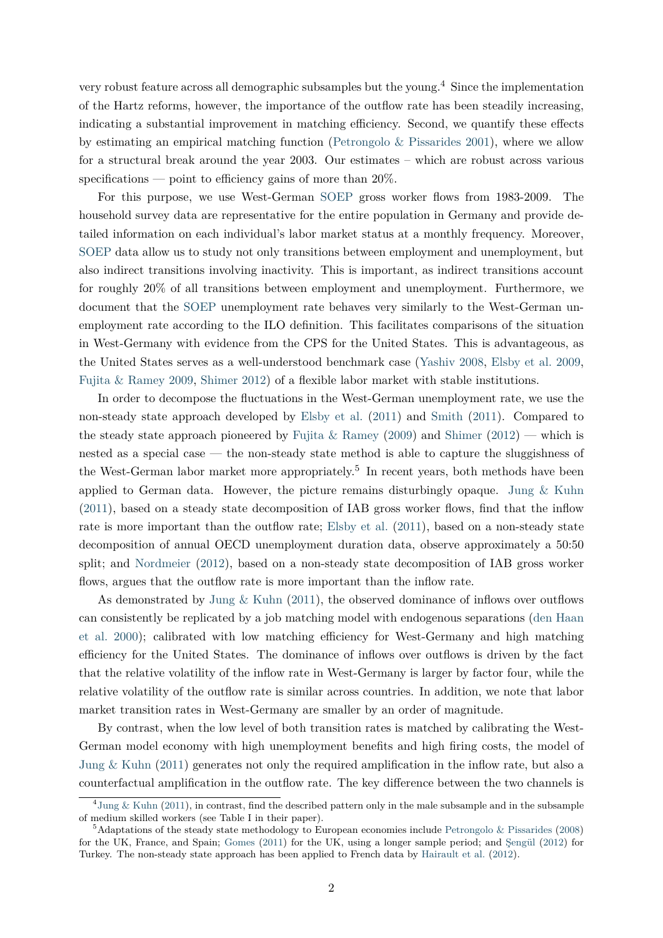very robust feature across all demographic subsamples but the young.<sup>4</sup> Since the implementation of the Hartz reforms, however, the importance of the outflow rate has been steadily increasing, indicating a substantial improvement in matching efficiency. Second, we quantify these effects by estimating an empirical matching function [\(Petrongolo & Pissarides](#page-24-3) [2001\)](#page-24-3), where we allow for a structural break around the year 2003. Our estimates – which are robust across various specifications — point to efficiency gains of more than  $20\%$ .

For this purpose, we use West-German [SOEP](#page-24-4) gross worker flows from 1983-2009. The household survey data are representative for the entire population in Germany and provide detailed information on each individual's labor market status at a monthly frequency. Moreover, [SOEP](#page-24-4) data allow us to study not only transitions between employment and unemployment, but also indirect transitions involving inactivity. This is important, as indirect transitions account for roughly 20% of all transitions between employment and unemployment. Furthermore, we document that the [SOEP](#page-24-4) unemployment rate behaves very similarly to the West-German unemployment rate according to the ILO definition. This facilitates comparisons of the situation in West-Germany with evidence from the CPS for the United States. This is advantageous, as the United States serves as a well-understood benchmark case [\(Yashiv](#page-24-5) [2008,](#page-24-5) [Elsby et al.](#page-22-3) [2009,](#page-22-3) [Fujita & Ramey](#page-22-4) [2009,](#page-22-4) [Shimer](#page-24-6) [2012\)](#page-24-6) of a flexible labor market with stable institutions.

In order to decompose the fluctuations in the West-German unemployment rate, we use the non-steady state approach developed by [Elsby et al.](#page-22-5) [\(2011\)](#page-22-5) and [Smith](#page-24-2) [\(2011\)](#page-24-2). Compared to the steady state approach pioneered by [Fujita & Ramey](#page-22-4) [\(2009\)](#page-22-4) and [Shimer](#page-24-6) [\(2012\)](#page-24-6) — which is nested as a special case — the non-steady state method is able to capture the sluggishness of the West-German labor market more appropriately.<sup>5</sup> In recent years, both methods have been applied to German data. However, the picture remains disturbingly opaque. Jung  $&$  Kuhn [\(2011\)](#page-23-5), based on a steady state decomposition of IAB gross worker flows, find that the inflow rate is more important than the outflow rate; [Elsby et al.](#page-22-5) [\(2011\)](#page-22-5), based on a non-steady state decomposition of annual OECD unemployment duration data, observe approximately a 50:50 split; and [Nordmeier](#page-23-7) [\(2012\)](#page-23-7), based on a non-steady state decomposition of IAB gross worker flows, argues that the outflow rate is more important than the inflow rate.

As demonstrated by Jung  $&$  Kuhn [\(2011\)](#page-23-5), the observed dominance of inflows over outflows can consistently be replicated by a job matching model with endogenous separations [\(den Haan](#page-21-2) [et al.](#page-21-2) [2000\)](#page-21-2); calibrated with low matching efficiency for West-Germany and high matching efficiency for the United States. The dominance of inflows over outflows is driven by the fact that the relative volatility of the inflow rate in West-Germany is larger by factor four, while the relative volatility of the outflow rate is similar across countries. In addition, we note that labor market transition rates in West-Germany are smaller by an order of magnitude.

By contrast, when the low level of both transition rates is matched by calibrating the West-German model economy with high unemployment benefits and high firing costs, the model of [Jung & Kuhn](#page-23-5) [\(2011\)](#page-23-5) generates not only the required amplification in the inflow rate, but also a counterfactual amplification in the outflow rate. The key difference between the two channels is

<sup>4</sup> [Jung & Kuhn](#page-23-5) [\(2011\)](#page-23-5), in contrast, find the described pattern only in the male subsample and in the subsample of medium skilled workers (see Table I in their paper).

 $5$ Adaptations of the steady state methodology to European economies include [Petrongolo & Pissarides](#page-24-7) [\(2008\)](#page-24-7) for the UK, France, and Spain; [Gomes](#page-22-6) [\(2011\)](#page-22-6) for the UK, using a longer sample period; and [Şengül](#page-24-8) [\(2012\)](#page-24-8) for Turkey. The non-steady state approach has been applied to French data by [Hairault et al.](#page-22-7) [\(2012\)](#page-22-7).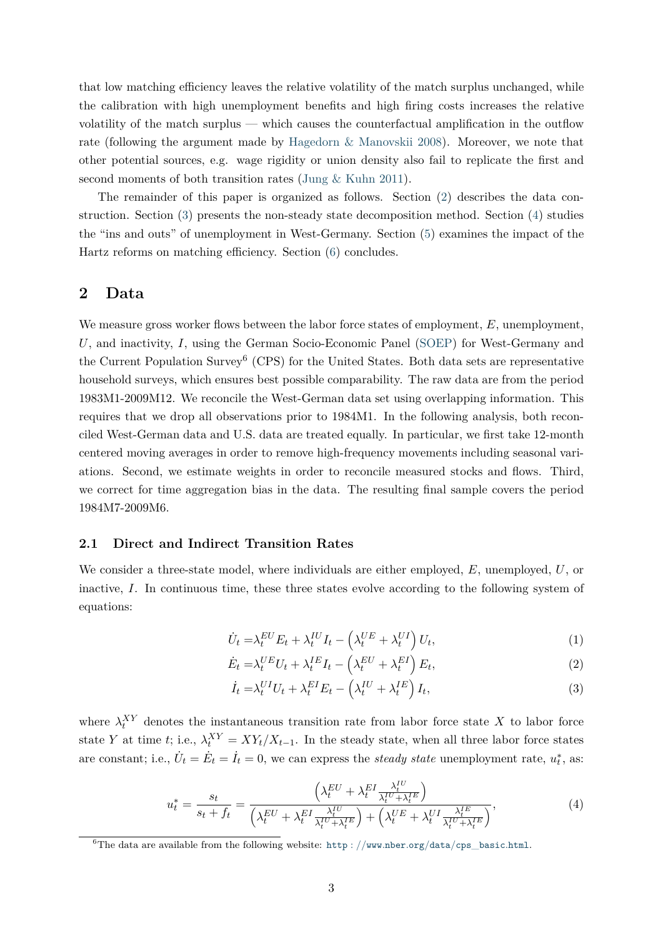that low matching efficiency leaves the relative volatility of the match surplus unchanged, while the calibration with high unemployment benefits and high firing costs increases the relative volatility of the match surplus — which causes the counterfactual amplification in the outflow rate (following the argument made by [Hagedorn & Manovskii](#page-22-8) [2008\)](#page-22-8). Moreover, we note that other potential sources, e.g. wage rigidity or union density also fail to replicate the first and second moments of both transition rates [\(Jung & Kuhn](#page-23-5) [2011\)](#page-23-5).

The remainder of this paper is organized as follows. Section [\(2\)](#page-3-0) describes the data construction. Section [\(3\)](#page-9-0) presents the non-steady state decomposition method. Section [\(4\)](#page-13-0) studies the "ins and outs" of unemployment in West-Germany. Section [\(5\)](#page-16-0) examines the impact of the Hartz reforms on matching efficiency. Section [\(6\)](#page-20-0) concludes.

## <span id="page-3-0"></span>**2 Data**

We measure gross worker flows between the labor force states of employment, E, unemployment, *U*, and inactivity, *I*, using the German Socio-Economic Panel [\(SOEP\)](#page-24-4) for West-Germany and the Current Population Survey<sup>6</sup> (CPS) for the United States. Both data sets are representative household surveys, which ensures best possible comparability. The raw data are from the period 1983M1-2009M12. We reconcile the West-German data set using overlapping information. This requires that we drop all observations prior to 1984M1. In the following analysis, both reconciled West-German data and U.S. data are treated equally. In particular, we first take 12-month centered moving averages in order to remove high-frequency movements including seasonal variations. Second, we estimate weights in order to reconcile measured stocks and flows. Third, we correct for time aggregation bias in the data. The resulting final sample covers the period 1984M7-2009M6.

### **2.1 Direct and Indirect Transition Rates**

We consider a three-state model, where individuals are either employed, *E*, unemployed, *U*, or inactive, *I*. In continuous time, these three states evolve according to the following system of equations:

$$
\dot{U}_t = \lambda_t^{EU} E_t + \lambda_t^{IU} I_t - \left(\lambda_t^{UE} + \lambda_t^{UI}\right) U_t,\tag{1}
$$

$$
\dot{E}_t = \lambda_t^{UE} U_t + \lambda_t^{IE} I_t - \left(\lambda_t^{EU} + \lambda_t^{EI}\right) E_t,\tag{2}
$$

$$
\dot{I}_t = \lambda_t^{UI} U_t + \lambda_t^{EI} E_t - \left(\lambda_t^{IU} + \lambda_t^{IE}\right) I_t,\tag{3}
$$

where  $\lambda_t^{XY}$  denotes the instantaneous transition rate from labor force state X to labor force state *Y* at time *t*; i.e.,  $\lambda_t^{XY} = XY_t/X_{t-1}$ . In the steady state, when all three labor force states are constant; i.e.,  $\dot{U}_t = \dot{E}_t = \dot{I}_t = 0$ , we can express the *steady state* unemployment rate,  $u_t^*$ , as:

<span id="page-3-1"></span>
$$
u_t^* = \frac{s_t}{s_t + f_t} = \frac{\left(\lambda_t^{EU} + \lambda_t^{EI} \frac{\lambda_t^{IU}}{\lambda_t^{IU} + \lambda_t^{IE}}\right)}{\left(\lambda_t^{EU} + \lambda_t^{EI} \frac{\lambda_t^{IU}}{\lambda_t^{IU} + \lambda_t^{IE}}\right) + \left(\lambda_t^{UE} + \lambda_t^{UI} \frac{\lambda_t^{IE}}{\lambda_t^{IU} + \lambda_t^{IE}}\right)},\tag{4}
$$

<sup>6</sup>The data are available from the following website: http : *//*www*.*nber*.*org*/*data*/*cps\_[basic](http://www.nber.org/data/cps_basic.html)*.*html.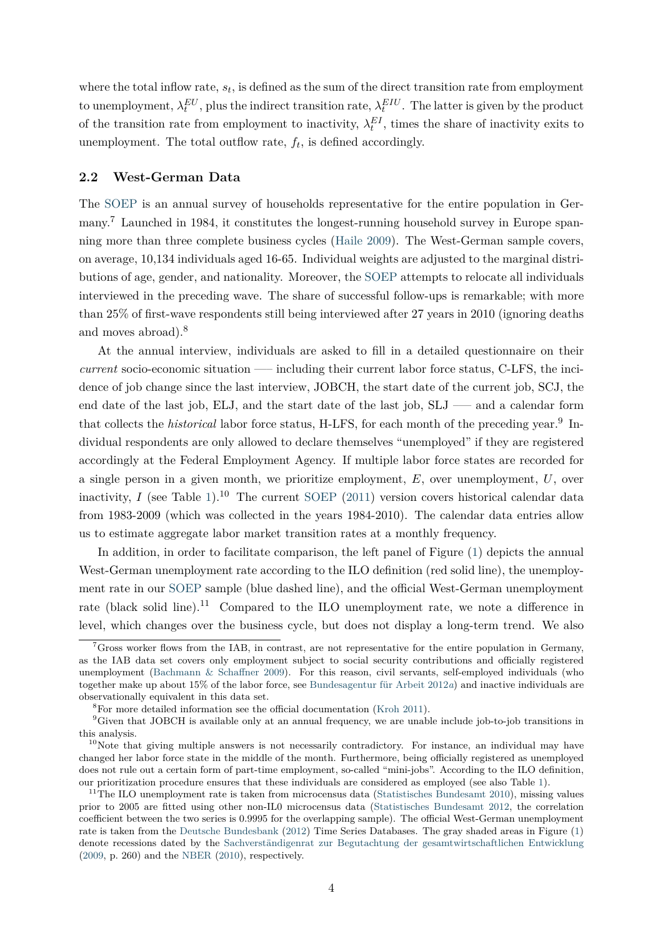where the total inflow rate, *s<sup>t</sup>* , is defined as the sum of the direct transition rate from employment to unemployment,  $\lambda_t^{EU}$ , plus the indirect transition rate,  $\lambda_t^{EIU}$ . The latter is given by the product of the transition rate from employment to inactivity,  $\lambda_t^{EI}$ , times the share of inactivity exits to unemployment. The total outflow rate,  $f_t$ , is defined accordingly.

### <span id="page-4-0"></span>**2.2 West-German Data**

The [SOEP](#page-24-4) is an annual survey of households representative for the entire population in Germany.<sup>7</sup> Launched in 1984, it constitutes the longest-running household survey in Europe spanning more than three complete business cycles [\(Haile](#page-22-9) [2009\)](#page-22-9). The West-German sample covers, on average, 10,134 individuals aged 16-65. Individual weights are adjusted to the marginal distributions of age, gender, and nationality. Moreover, the [SOEP](#page-24-4) attempts to relocate all individuals interviewed in the preceding wave. The share of successful follow-ups is remarkable; with more than 25% of first-wave respondents still being interviewed after 27 years in 2010 (ignoring deaths and moves abroad).<sup>8</sup>

At the annual interview, individuals are asked to fill in a detailed questionnaire on their *current* socio-economic situation —– including their current labor force status, C-LFS, the incidence of job change since the last interview, JOBCH, the start date of the current job, SCJ, the end date of the last job, ELJ, and the start date of the last job, SLJ –— and a calendar form that collects the *historical* labor force status, H-LFS, for each month of the preceding year.<sup>9</sup> Individual respondents are only allowed to declare themselves "unemployed" if they are registered accordingly at the Federal Employment Agency. If multiple labor force states are recorded for a single person in a given month, we prioritize employment, *E*, over unemployment, *U*, over inactivity, *I* (see Table [1\)](#page-28-0).<sup>10</sup> The current [SOEP](#page-24-4) [\(2011\)](#page-24-4) version covers historical calendar data from 1983-2009 (which was collected in the years 1984-2010). The calendar data entries allow us to estimate aggregate labor market transition rates at a monthly frequency.

In addition, in order to facilitate comparison, the left panel of Figure [\(1\)](#page-35-0) depicts the annual West-German unemployment rate according to the ILO definition (red solid line), the unemployment rate in our [SOEP](#page-24-4) sample (blue dashed line), and the official West-German unemployment rate (black solid line).<sup>11</sup> Compared to the ILO unemployment rate, we note a difference in level, which changes over the business cycle, but does not display a long-term trend. We also

 ${}^{7}$ Gross worker flows from the IAB, in contrast, are not representative for the entire population in Germany, as the IAB data set covers only employment subject to social security contributions and officially registered unemployment [\(Bachmann & Schaffner](#page-21-3) [2009\)](#page-21-3). For this reason, civil servants, self-employed individuals (who together make up about 15% of the labor force, see [Bundesagentur für Arbeit](#page-21-4) [2012](#page-21-4)*a*) and inactive individuals are observationally equivalent in this data set.

<sup>8</sup>For more detailed information see the official documentation [\(Kroh](#page-23-8) [2011\)](#page-23-8).

<sup>&</sup>lt;sup>9</sup>Given that JOBCH is available only at an annual frequency, we are unable include job-to-job transitions in this analysis.

 $10$ Note that giving multiple answers is not necessarily contradictory. For instance, an individual may have changed her labor force state in the middle of the month. Furthermore, being officially registered as unemployed does not rule out a certain form of part-time employment, so-called "mini-jobs". According to the ILO definition, our prioritization procedure ensures that these individuals are considered as employed (see also Table [1\)](#page-28-0).

<sup>&</sup>lt;sup>11</sup>The ILO unemployment rate is taken from microcensus data [\(Statistisches Bundesamt](#page-24-9) [2010\)](#page-24-9), missing values prior to 2005 are fitted using other non-IL0 microcensus data [\(Statistisches Bundesamt](#page-24-10) [2012,](#page-24-10) the correlation coefficient between the two series is 0*.*9995 for the overlapping sample). The official West-German unemployment rate is taken from the [Deutsche Bundesbank](#page-21-5) [\(2012\)](#page-21-5) Time Series Databases. The gray shaded areas in Figure [\(1\)](#page-35-0) denote recessions dated by the [Sachverständigenrat zur Begutachtung der gesamtwirtschaftlichen Entwicklung](#page-24-11) [\(2009,](#page-24-11) p. 260) and the [NBER](#page-23-9) [\(2010\)](#page-23-9), respectively.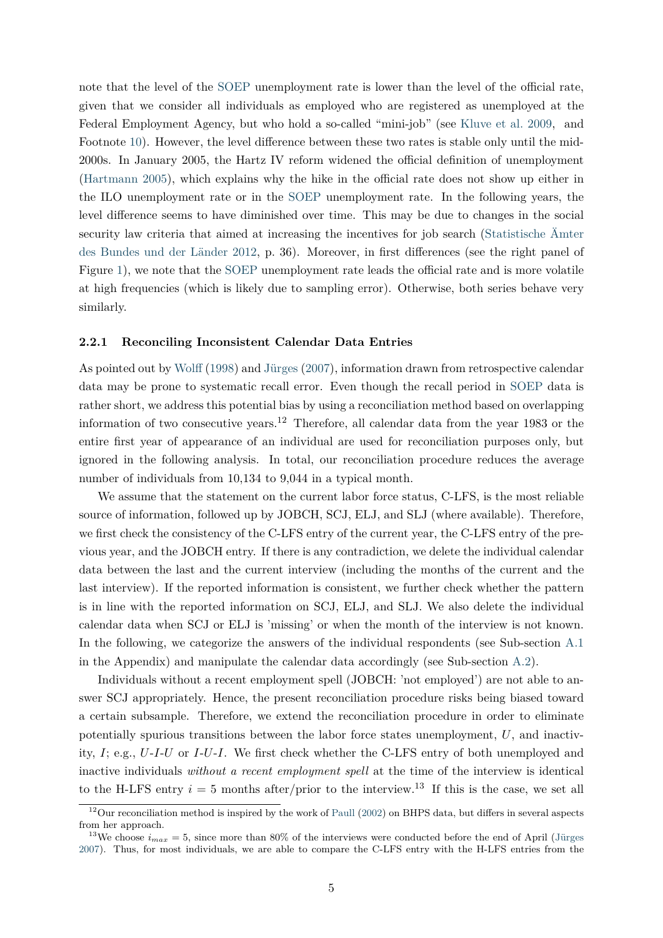note that the level of the [SOEP](#page-24-4) unemployment rate is lower than the level of the official rate, given that we consider all individuals as employed who are registered as unemployed at the Federal Employment Agency, but who hold a so-called "mini-job" (see [Kluve et al.](#page-23-10) [2009,](#page-23-10) and Footnote [10\)](#page-4-0). However, the level difference between these two rates is stable only until the mid-2000s. In January 2005, the Hartz IV reform widened the official definition of unemployment [\(Hartmann](#page-22-10) [2005\)](#page-22-10), which explains why the hike in the official rate does not show up either in the ILO unemployment rate or in the [SOEP](#page-24-4) unemployment rate. In the following years, the level difference seems to have diminished over time. This may be due to changes in the social security law criteria that aimed at increasing the incentives for job search [\(Statistische Ämter](#page-24-12) [des Bundes und der Länder](#page-24-12) [2012,](#page-24-12) p. 36). Moreover, in first differences (see the right panel of Figure [1\)](#page-35-0), we note that the [SOEP](#page-24-4) unemployment rate leads the official rate and is more volatile at high frequencies (which is likely due to sampling error). Otherwise, both series behave very similarly.

#### **2.2.1 Reconciling Inconsistent Calendar Data Entries**

As pointed out by [Wolff](#page-24-13) [\(1998\)](#page-24-13) and [Jürges](#page-23-11) [\(2007\)](#page-23-11), information drawn from retrospective calendar data may be prone to systematic recall error. Even though the recall period in [SOEP](#page-24-4) data is rather short, we address this potential bias by using a reconciliation method based on overlapping information of two consecutive years.<sup>12</sup> Therefore, all calendar data from the year 1983 or the entire first year of appearance of an individual are used for reconciliation purposes only, but ignored in the following analysis. In total, our reconciliation procedure reduces the average number of individuals from 10,134 to 9,044 in a typical month.

We assume that the statement on the current labor force status, C-LFS, is the most reliable source of information, followed up by JOBCH, SCJ, ELJ, and SLJ (where available). Therefore, we first check the consistency of the C-LFS entry of the current year, the C-LFS entry of the previous year, and the JOBCH entry. If there is any contradiction, we delete the individual calendar data between the last and the current interview (including the months of the current and the last interview). If the reported information is consistent, we further check whether the pattern is in line with the reported information on SCJ, ELJ, and SLJ. We also delete the individual calendar data when SCJ or ELJ is 'missing' or when the month of the interview is not known. In the following, we categorize the answers of the individual respondents (see Sub-section [A.1](#page-25-0)) in the Appendix) and manipulate the calendar data accordingly (see Sub-section [A.2\)](#page-27-0).

Individuals without a recent employment spell (JOBCH: 'not employed') are not able to answer SCJ appropriately. Hence, the present reconciliation procedure risks being biased toward a certain subsample. Therefore, we extend the reconciliation procedure in order to eliminate potentially spurious transitions between the labor force states unemployment, *U*, and inactivity, *I*; e.g., *U*-*I*-*U* or *I*-*U*-*I*. We first check whether the C-LFS entry of both unemployed and inactive individuals *without a recent employment spell* at the time of the interview is identical to the H-LFS entry  $i = 5$  months after/prior to the interview.<sup>13</sup> If this is the case, we set all

 $12$ Our reconciliation method is inspired by the work of [Paull](#page-23-12) [\(2002\)](#page-23-12) on BHPS data, but differs in several aspects from her approach.

<sup>&</sup>lt;sup>13</sup>We choose  $i_{max} = 5$ , since more than 80% of the interviews were conducted before the end of April [\(Jürges](#page-23-11) [2007\)](#page-23-11). Thus, for most individuals, we are able to compare the C-LFS entry with the H-LFS entries from the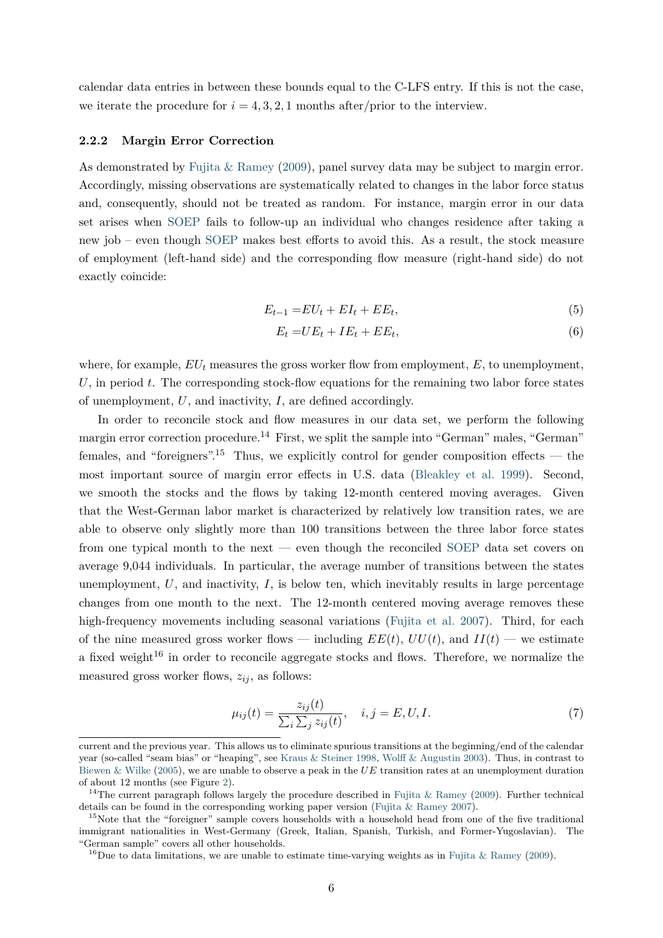calendar data entries in between these bounds equal to the C-LFS entry. If this is not the case, we iterate the procedure for  $i = 4, 3, 2, 1$  months after/prior to the interview.

#### **2.2.2 Margin Error Correction**

As demonstrated by [Fujita & Ramey](#page-22-4) [\(2009\)](#page-22-4), panel survey data may be subject to margin error. Accordingly, missing observations are systematically related to changes in the labor force status and, consequently, should not be treated as random. For instance, margin error in our data set arises when [SOEP](#page-24-4) fails to follow-up an individual who changes residence after taking a new job – even though [SOEP](#page-24-4) makes best efforts to avoid this. As a result, the stock measure of employment (left-hand side) and the corresponding flow measure (right-hand side) do not exactly coincide:

$$
E_{t-1} = EU_t + EI_t + EE_t,\tag{5}
$$

<span id="page-6-0"></span>
$$
E_t = UE_t + IE_t + EE_t,\t\t(6)
$$

where, for example, *EU<sup>t</sup>* measures the gross worker flow from employment, *E*, to unemployment, *U*, in period *t*. The corresponding stock-flow equations for the remaining two labor force states of unemployment, *U*, and inactivity, *I*, are defined accordingly.

In order to reconcile stock and flow measures in our data set, we perform the following margin error correction procedure.<sup>14</sup> First, we split the sample into "German" males, "German" females, and "foreigners".<sup>15</sup> Thus, we explicitly control for gender composition effects — the most important source of margin error effects in U.S. data [\(Bleakley et al.](#page-21-6) [1999\)](#page-21-6). Second, we smooth the stocks and the flows by taking 12-month centered moving averages. Given that the West-German labor market is characterized by relatively low transition rates, we are able to observe only slightly more than 100 transitions between the three labor force states from one typical month to the next — even though the reconciled [SOEP](#page-24-4) data set covers on average 9,044 individuals. In particular, the average number of transitions between the states unemployment,  $U$ , and inactivity,  $I$ , is below ten, which inevitably results in large percentage changes from one month to the next. The 12-month centered moving average removes these high-frequency movements including seasonal variations [\(Fujita et al.](#page-22-11) [2007\)](#page-22-11). Third, for each of the nine measured gross worker flows — including  $EE(t)$ ,  $UU(t)$ , and  $II(t)$  — we estimate a fixed weight<sup>16</sup> in order to reconcile aggregate stocks and flows. Therefore, we normalize the measured gross worker flows,  $z_{ij}$ , as follows:

$$
\mu_{ij}(t) = \frac{z_{ij}(t)}{\sum_i \sum_j z_{ij}(t)}, \quad i, j = E, U, I. \tag{7}
$$

current and the previous year. This allows us to eliminate spurious transitions at the beginning/end of the calendar year (so-called "seam bias" or "heaping", see [Kraus & Steiner](#page-23-13) [1998,](#page-23-13) [Wolff & Augustin](#page-24-14) [2003\)](#page-24-14). Thus, in contrast to [Biewen & Wilke](#page-21-7) [\(2005\)](#page-21-7), we are unable to observe a peak in the *UE* transition rates at an unemployment duration of about 12 months (see Figure [2\)](#page-35-1).

<sup>&</sup>lt;sup>14</sup>The current paragraph follows largely the procedure described in [Fujita & Ramey](#page-22-4) [\(2009\)](#page-22-4). Further technical details can be found in the corresponding working paper version [\(Fujita & Ramey](#page-22-12) [2007\)](#page-22-12).

<sup>&</sup>lt;sup>15</sup>Note that the "foreigner" sample covers households with a household head from one of the five traditional immigrant nationalities in West-Germany (Greek, Italian, Spanish, Turkish, and Former-Yugoslavian). The "German sample" covers all other households.

<sup>&</sup>lt;sup>16</sup>Due to data limitations, we are unable to estimate time-varying weights as in [Fujita & Ramey](#page-22-4) [\(2009\)](#page-22-4).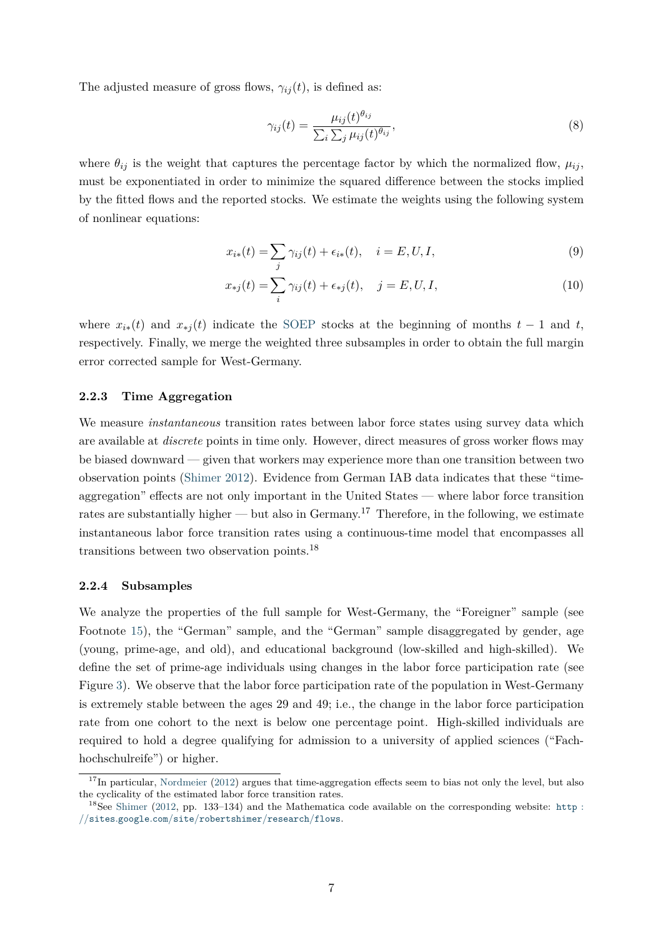The adjusted measure of gross flows,  $\gamma_{ij}(t)$ , is defined as:

$$
\gamma_{ij}(t) = \frac{\mu_{ij}(t)^{\theta_{ij}}}{\sum_{i} \sum_{j} \mu_{ij}(t)^{\theta_{ij}}},\tag{8}
$$

where  $\theta_{ij}$  is the weight that captures the percentage factor by which the normalized flow,  $\mu_{ij}$ , must be exponentiated in order to minimize the squared difference between the stocks implied by the fitted flows and the reported stocks. We estimate the weights using the following system of nonlinear equations:

$$
x_{i*}(t) = \sum_{j} \gamma_{ij}(t) + \epsilon_{i*}(t), \quad i = E, U, I,
$$
\n(9)

$$
x_{*j}(t) = \sum_{i} \gamma_{ij}(t) + \epsilon_{*j}(t), \quad j = E, U, I,
$$
\n(10)

where  $x_{i*}(t)$  and  $x_{*j}(t)$  indicate the [SOEP](#page-24-4) stocks at the beginning of months  $t-1$  and  $t$ , respectively. Finally, we merge the weighted three subsamples in order to obtain the full margin error corrected sample for West-Germany.

#### **2.2.3 Time Aggregation**

We measure *instantaneous* transition rates between labor force states using survey data which are available at *discrete* points in time only. However, direct measures of gross worker flows may be biased downward — given that workers may experience more than one transition between two observation points [\(Shimer](#page-24-6) [2012\)](#page-24-6). Evidence from German IAB data indicates that these "timeaggregation" effects are not only important in the United States — where labor force transition rates are substantially higher — but also in Germany.<sup>17</sup> Therefore, in the following, we estimate instantaneous labor force transition rates using a continuous-time model that encompasses all transitions between two observation points.<sup>18</sup>

#### **2.2.4 Subsamples**

We analyze the properties of the full sample for West-Germany, the "Foreigner" sample (see Footnote [15\)](#page-6-0), the "German" sample, and the "German" sample disaggregated by gender, age (young, prime-age, and old), and educational background (low-skilled and high-skilled). We define the set of prime-age individuals using changes in the labor force participation rate (see Figure [3\)](#page-35-1). We observe that the labor force participation rate of the population in West-Germany is extremely stable between the ages 29 and 49; i.e., the change in the labor force participation rate from one cohort to the next is below one percentage point. High-skilled individuals are required to hold a degree qualifying for admission to a university of applied sciences ("Fachhochschulreife") or higher.

 $17$ In particular, [Nordmeier](#page-23-7) [\(2012\)](#page-23-7) argues that time-aggregation effects seem to bias not only the level, but also the cyclicality of the estimated labor force transition rates.

 $18$ See [Shimer](#page-24-6) [\(2012,](#page-24-6) pp. 133–134) and the Mathematica code available on the corresponding website: [http](http://sites.google.com/site/robertshimer/research/flows) : *//*sites*.*google*.*com*/*site*/*[robertshimer](http://sites.google.com/site/robertshimer/research/flows)*/*research*/*flows.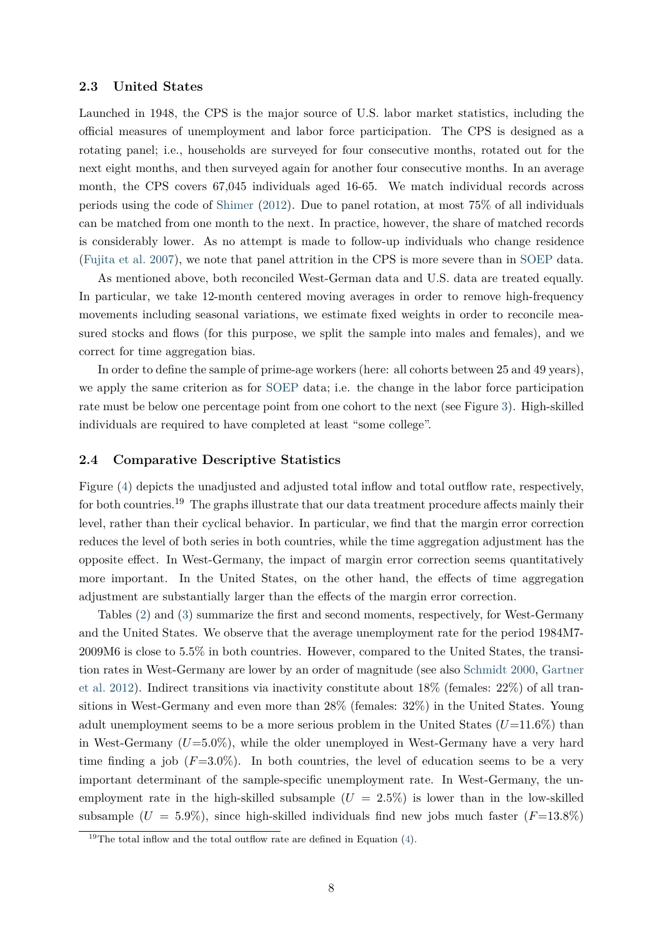#### **2.3 United States**

Launched in 1948, the CPS is the major source of U.S. labor market statistics, including the official measures of unemployment and labor force participation. The CPS is designed as a rotating panel; i.e., households are surveyed for four consecutive months, rotated out for the next eight months, and then surveyed again for another four consecutive months. In an average month, the CPS covers 67,045 individuals aged 16-65. We match individual records across periods using the code of [Shimer](#page-24-6) [\(2012\)](#page-24-6). Due to panel rotation, at most 75% of all individuals can be matched from one month to the next. In practice, however, the share of matched records is considerably lower. As no attempt is made to follow-up individuals who change residence [\(Fujita et al.](#page-22-11) [2007\)](#page-22-11), we note that panel attrition in the CPS is more severe than in [SOEP](#page-24-4) data.

As mentioned above, both reconciled West-German data and U.S. data are treated equally. In particular, we take 12-month centered moving averages in order to remove high-frequency movements including seasonal variations, we estimate fixed weights in order to reconcile measured stocks and flows (for this purpose, we split the sample into males and females), and we correct for time aggregation bias.

In order to define the sample of prime-age workers (here: all cohorts between 25 and 49 years), we apply the same criterion as for [SOEP](#page-24-4) data; i.e. the change in the labor force participation rate must be below one percentage point from one cohort to the next (see Figure [3\)](#page-35-1). High-skilled individuals are required to have completed at least "some college".

#### **2.4 Comparative Descriptive Statistics**

Figure [\(4\)](#page-35-2) depicts the unadjusted and adjusted total inflow and total outflow rate, respectively, for both countries.<sup>19</sup> The graphs illustrate that our data treatment procedure affects mainly their level, rather than their cyclical behavior. In particular, we find that the margin error correction reduces the level of both series in both countries, while the time aggregation adjustment has the opposite effect. In West-Germany, the impact of margin error correction seems quantitatively more important. In the United States, on the other hand, the effects of time aggregation adjustment are substantially larger than the effects of the margin error correction.

Tables [\(2\)](#page-30-0) and [\(3\)](#page-31-0) summarize the first and second moments, respectively, for West-Germany and the United States. We observe that the average unemployment rate for the period 1984M7- 2009M6 is close to 5.5% in both countries. However, compared to the United States, the transition rates in West-Germany are lower by an order of magnitude (see also [Schmidt](#page-24-15) [2000,](#page-24-15) [Gartner](#page-22-13) [et al.](#page-22-13) [2012\)](#page-22-13). Indirect transitions via inactivity constitute about 18% (females: 22%) of all transitions in West-Germany and even more than 28% (females: 32%) in the United States. Young adult unemployment seems to be a more serious problem in the United States  $(U=11.6\%)$  than in West-Germany  $(U=5.0\%)$ , while the older unemployed in West-Germany have a very hard time finding a job  $(F=3.0\%)$ . In both countries, the level of education seems to be a very important determinant of the sample-specific unemployment rate. In West-Germany, the unemployment rate in the high-skilled subsample  $(U = 2.5\%)$  is lower than in the low-skilled subsample  $(U = 5.9\%)$ , since high-skilled individuals find new jobs much faster  $(F=13.8\%)$ 

<sup>&</sup>lt;sup>19</sup>The total inflow and the total outflow rate are defined in Equation [\(4\)](#page-3-1).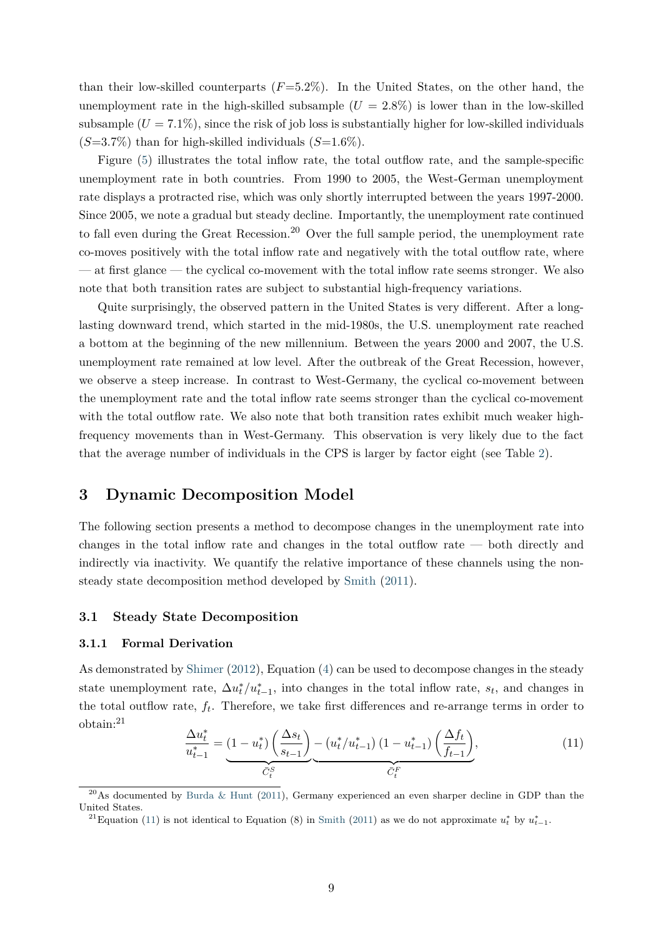than their low-skilled counterparts  $(F=5.2\%)$ . In the United States, on the other hand, the unemployment rate in the high-skilled subsample  $(U = 2.8\%)$  is lower than in the low-skilled subsample  $(U = 7.1\%)$ , since the risk of job loss is substantially higher for low-skilled individuals (*S*=3.7%) than for high-skilled individuals (*S*=1.6%).

Figure [\(5\)](#page-36-0) illustrates the total inflow rate, the total outflow rate, and the sample-specific unemployment rate in both countries. From 1990 to 2005, the West-German unemployment rate displays a protracted rise, which was only shortly interrupted between the years 1997-2000. Since 2005, we note a gradual but steady decline. Importantly, the unemployment rate continued to fall even during the Great Recession.<sup>20</sup> Over the full sample period, the unemployment rate co-moves positively with the total inflow rate and negatively with the total outflow rate, where — at first glance — the cyclical co-movement with the total inflow rate seems stronger. We also note that both transition rates are subject to substantial high-frequency variations.

Quite surprisingly, the observed pattern in the United States is very different. After a longlasting downward trend, which started in the mid-1980s, the U.S. unemployment rate reached a bottom at the beginning of the new millennium. Between the years 2000 and 2007, the U.S. unemployment rate remained at low level. After the outbreak of the Great Recession, however, we observe a steep increase. In contrast to West-Germany, the cyclical co-movement between the unemployment rate and the total inflow rate seems stronger than the cyclical co-movement with the total outflow rate. We also note that both transition rates exhibit much weaker highfrequency movements than in West-Germany. This observation is very likely due to the fact that the average number of individuals in the CPS is larger by factor eight (see Table [2\)](#page-30-0).

# <span id="page-9-0"></span>**3 Dynamic Decomposition Model**

The following section presents a method to decompose changes in the unemployment rate into changes in the total inflow rate and changes in the total outflow rate — both directly and indirectly via inactivity. We quantify the relative importance of these channels using the nonsteady state decomposition method developed by [Smith](#page-24-2) [\(2011\)](#page-24-2).

### **3.1 Steady State Decomposition**

#### **3.1.1 Formal Derivation**

As demonstrated by [Shimer](#page-24-6) [\(2012\)](#page-24-6), Equation [\(4\)](#page-3-1) can be used to decompose changes in the steady state unemployment rate,  $\Delta u_t^*/u_{t-1}^*$ , into changes in the total inflow rate,  $s_t$ , and changes in the total outflow rate, *f<sup>t</sup>* . Therefore, we take first differences and re-arrange terms in order to obtain:<sup>21</sup>

<span id="page-9-1"></span>
$$
\frac{\Delta u_t^*}{u_{t-1}^*} = (1 - u_t^*) \left(\frac{\Delta s_t}{s_{t-1}}\right) - \left(u_t^*/u_{t-1}^*\right) (1 - u_{t-1}^*) \left(\frac{\Delta f_t}{f_{t-1}}\right),
$$
\n
$$
\overline{C_t^S} \qquad \qquad \overline{C_t^F} \qquad (11)
$$

 $^{20}$ As documented by [Burda & Hunt](#page-21-8) [\(2011\)](#page-21-8), Germany experienced an even sharper decline in GDP than the United States.

<sup>&</sup>lt;sup>21</sup> Equation [\(11\)](#page-9-1) is not identical to Equation (8) in [Smith](#page-24-2) [\(2011\)](#page-24-2) as we do not approximate  $u_t^*$  by  $u_{t-1}^*$ .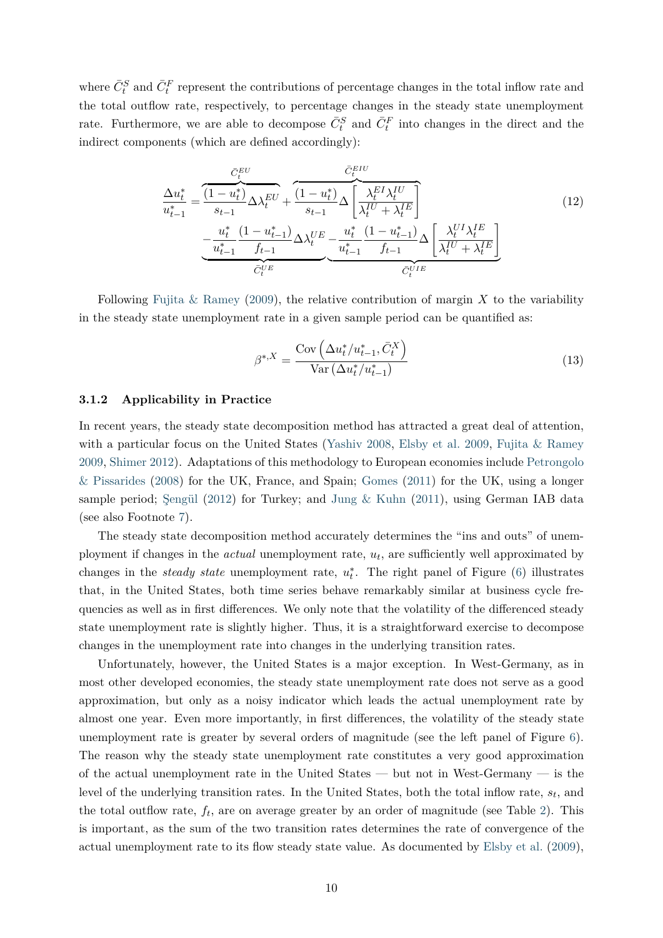where  $\bar{C}^S_t$  and  $\bar{C}^F_t$  represent the contributions of percentage changes in the total inflow rate and the total outflow rate, respectively, to percentage changes in the steady state unemployment rate. Furthermore, we are able to decompose  $\bar{C}^S_t$  and  $\bar{C}^F_t$  into changes in the direct and the indirect components (which are defined accordingly):

$$
\frac{\Delta u_t^*}{u_{t-1}^*} = \frac{\frac{\bar{C}_t^{EU}}{1 - u_t^*}}{s_{t-1}} \Delta \lambda_t^{EU} + \frac{(1 - u_t^*)}{s_{t-1}} \Delta \left[ \frac{\lambda_t^{EI} \lambda_t^{IU}}{\lambda_t^{IU} + \lambda_t^{IE}} \right] \n- \frac{u_t^*}{u_{t-1}^*} \frac{(1 - u_{t-1}^*)}{f_{t-1}} \Delta \lambda_t^{UE} - \frac{u_t^*}{u_{t-1}^*} \frac{(1 - u_{t-1}^*)}{f_{t-1}} \Delta \left[ \frac{\lambda_t^{UI} \lambda_t^{IE}}{\lambda_t^{IU} + \lambda_t^{IE}} \right] \n\bar{C}_t^{UE}
$$
\n(12)

Following Fujita  $\&$  Ramey [\(2009\)](#page-22-4), the relative contribution of margin X to the variability in the steady state unemployment rate in a given sample period can be quantified as:

<span id="page-10-1"></span><span id="page-10-0"></span>
$$
\beta^{*,X} = \frac{\text{Cov}\left(\Delta u_t^*/u_{t-1}^*, \bar{C}_t^X\right)}{\text{Var}\left(\Delta u_t^*/u_{t-1}^*\right)}\tag{13}
$$

#### **3.1.2 Applicability in Practice**

In recent years, the steady state decomposition method has attracted a great deal of attention, with a particular focus on the United States [\(Yashiv](#page-24-5) [2008,](#page-24-5) [Elsby et al.](#page-22-3) [2009,](#page-22-3) [Fujita & Ramey](#page-22-4) [2009,](#page-22-4) [Shimer](#page-24-6) [2012\)](#page-24-6). Adaptations of this methodology to European economies include [Petrongolo](#page-24-7) [& Pissarides](#page-24-7) [\(2008\)](#page-24-7) for the UK, France, and Spain; [Gomes](#page-22-6) [\(2011\)](#page-22-6) for the UK, using a longer sample period; Sengül [\(2012\)](#page-24-8) for Turkey; and Jung  $\&$  Kuhn [\(2011\)](#page-23-5), using German IAB data (see also Footnote [7\)](#page-4-0).

The steady state decomposition method accurately determines the "ins and outs" of unemployment if changes in the *actual* unemployment rate, *u<sup>t</sup>* , are sufficiently well approximated by changes in the *steady state* unemployment rate,  $u_t^*$ . The right panel of Figure [\(6\)](#page-36-1) illustrates that, in the United States, both time series behave remarkably similar at business cycle frequencies as well as in first differences. We only note that the volatility of the differenced steady state unemployment rate is slightly higher. Thus, it is a straightforward exercise to decompose changes in the unemployment rate into changes in the underlying transition rates.

Unfortunately, however, the United States is a major exception. In West-Germany, as in most other developed economies, the steady state unemployment rate does not serve as a good approximation, but only as a noisy indicator which leads the actual unemployment rate by almost one year. Even more importantly, in first differences, the volatility of the steady state unemployment rate is greater by several orders of magnitude (see the left panel of Figure [6\)](#page-36-1). The reason why the steady state unemployment rate constitutes a very good approximation of the actual unemployment rate in the United States — but not in West-Germany — is the level of the underlying transition rates. In the United States, both the total inflow rate, *s<sup>t</sup>* , and the total outflow rate,  $f_t$ , are on average greater by an order of magnitude (see Table [2\)](#page-30-0). This is important, as the sum of the two transition rates determines the rate of convergence of the actual unemployment rate to its flow steady state value. As documented by [Elsby et al.](#page-22-3) [\(2009\)](#page-22-3),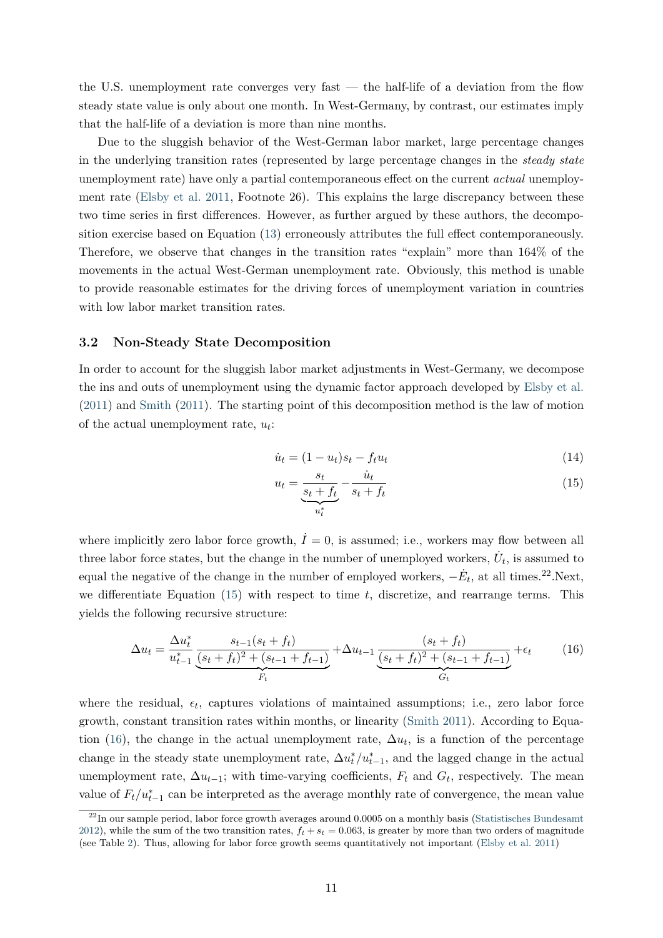the U.S. unemployment rate converges very fast  $-$  the half-life of a deviation from the flow steady state value is only about one month. In West-Germany, by contrast, our estimates imply that the half-life of a deviation is more than nine months.

Due to the sluggish behavior of the West-German labor market, large percentage changes in the underlying transition rates (represented by large percentage changes in the *steady state* unemployment rate) have only a partial contemporaneous effect on the current *actual* unemployment rate [\(Elsby et al.](#page-22-5) [2011,](#page-22-5) Footnote 26). This explains the large discrepancy between these two time series in first differences. However, as further argued by these authors, the decomposition exercise based on Equation [\(13\)](#page-10-0) erroneously attributes the full effect contemporaneously. Therefore, we observe that changes in the transition rates "explain" more than 164% of the movements in the actual West-German unemployment rate. Obviously, this method is unable to provide reasonable estimates for the driving forces of unemployment variation in countries with low labor market transition rates.

#### **3.2 Non-Steady State Decomposition**

In order to account for the sluggish labor market adjustments in West-Germany, we decompose the ins and outs of unemployment using the dynamic factor approach developed by [Elsby et al.](#page-22-5) [\(2011\)](#page-22-5) and [Smith](#page-24-2) [\(2011\)](#page-24-2). The starting point of this decomposition method is the law of motion of the actual unemployment rate, *u<sup>t</sup>* :

$$
\dot{u}_t = (1 - u_t)s_t - f_t u_t \tag{14}
$$

<span id="page-11-0"></span>
$$
u_t = \underbrace{\frac{s_t}{s_t + f_t}}_{u_t^*} - \frac{\dot{u}_t}{s_t + f_t} \tag{15}
$$

where implicitly zero labor force growth,  $\dot{I}=0$ , is assumed; i.e., workers may flow between all three labor force states, but the change in the number of unemployed workers,  $\dot{U}_t$ , is assumed to equal the negative of the change in the number of employed workers,  $-\dot{E}_t$ , at all times.<sup>22</sup>.Next, we differentiate Equation [\(15\)](#page-11-0) with respect to time *t*, discretize, and rearrange terms. This yields the following recursive structure:

<span id="page-11-1"></span>
$$
\Delta u_t = \frac{\Delta u_t^*}{u_{t-1}^*} \underbrace{\frac{s_{t-1}(s_t + f_t)}{(s_t + f_t)^2 + (s_{t-1} + f_{t-1})}}_{F_t} + \Delta u_{t-1} \underbrace{\frac{(s_t + f_t)}{(s_t + f_t)^2 + (s_{t-1} + f_{t-1})}}_{G_t} + \epsilon_t \tag{16}
$$

where the residual,  $\epsilon_t$ , captures violations of maintained assumptions; i.e., zero labor force growth, constant transition rates within months, or linearity [\(Smith](#page-24-2) [2011\)](#page-24-2). According to Equa-tion [\(16\)](#page-11-1), the change in the actual unemployment rate,  $\Delta u_t$ , is a function of the percentage change in the steady state unemployment rate,  $\Delta u_t^*/u_{t-1}^*$ , and the lagged change in the actual unemployment rate,  $\Delta u_{t-1}$ ; with time-varying coefficients,  $F_t$  and  $G_t$ , respectively. The mean value of  $F_t/u_{t-1}^*$  can be interpreted as the average monthly rate of convergence, the mean value

<sup>&</sup>lt;sup>22</sup>In our sample period, labor force growth averages around 0.0005 on a monthly basis [\(Statistisches Bundesamt](#page-24-10) [2012\)](#page-24-10), while the sum of the two transition rates,  $f_t + s_t = 0.063$ , is greater by more than two orders of magnitude (see Table [2\)](#page-30-0). Thus, allowing for labor force growth seems quantitatively not important [\(Elsby et al.](#page-22-5) [2011\)](#page-22-5)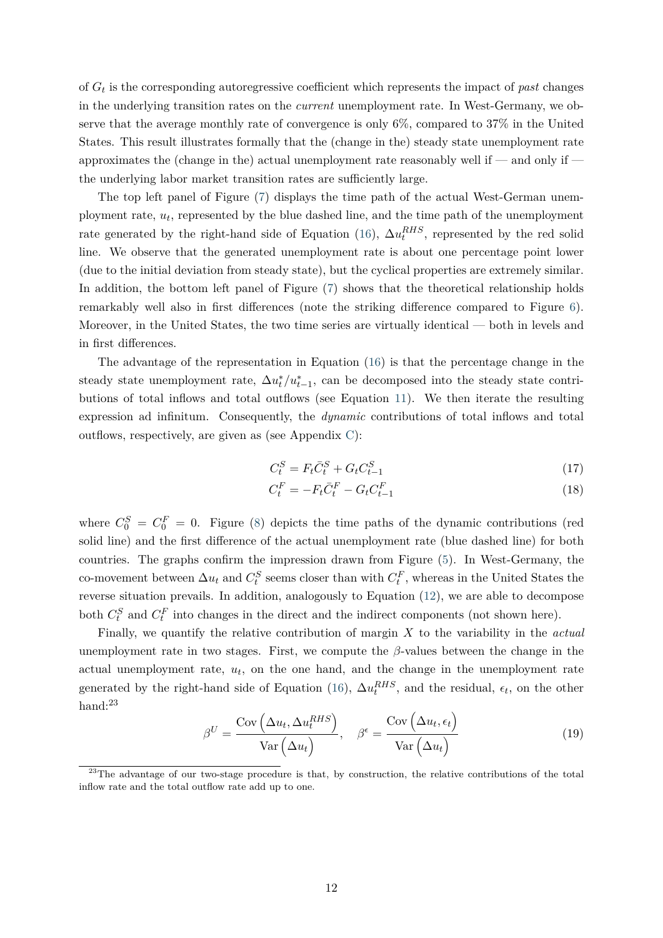of *G<sup>t</sup>* is the corresponding autoregressive coefficient which represents the impact of *past* changes in the underlying transition rates on the *current* unemployment rate. In West-Germany, we observe that the average monthly rate of convergence is only 6%, compared to 37% in the United States. This result illustrates formally that the (change in the) steady state unemployment rate approximates the (change in the) actual unemployment rate reasonably well if — and only if the underlying labor market transition rates are sufficiently large.

The top left panel of Figure [\(7\)](#page-36-2) displays the time path of the actual West-German unemployment rate, *u<sup>t</sup>* , represented by the blue dashed line, and the time path of the unemployment rate generated by the right-hand side of Equation [\(16\)](#page-11-1),  $\Delta u_t^{RHS}$ , represented by the red solid line. We observe that the generated unemployment rate is about one percentage point lower (due to the initial deviation from steady state), but the cyclical properties are extremely similar. In addition, the bottom left panel of Figure [\(7\)](#page-36-2) shows that the theoretical relationship holds remarkably well also in first differences (note the striking difference compared to Figure [6\)](#page-36-1). Moreover, in the United States, the two time series are virtually identical — both in levels and in first differences.

The advantage of the representation in Equation [\(16\)](#page-11-1) is that the percentage change in the steady state unemployment rate,  $\Delta u_t^*/u_{t-1}^*$ , can be decomposed into the steady state contributions of total inflows and total outflows (see Equation [11\)](#page-9-1). We then iterate the resulting expression ad infinitum. Consequently, the *dynamic* contributions of total inflows and total outflows, respectively, are given as (see Appendix [C\)](#page-29-0):

$$
C_t^S = F_t \bar{C}_t^S + G_t C_{t-1}^S \tag{17}
$$

$$
C_t^F = -F_t \bar{C}_t^F - G_t C_{t-1}^F \tag{18}
$$

where  $C_0^S = C_0^F = 0$ . Figure [\(8\)](#page-37-0) depicts the time paths of the dynamic contributions (red solid line) and the first difference of the actual unemployment rate (blue dashed line) for both countries. The graphs confirm the impression drawn from Figure [\(5\)](#page-36-0). In West-Germany, the co-movement between  $\Delta u_t$  and  $C_t^S$  seems closer than with  $C_t^F$ , whereas in the United States the reverse situation prevails. In addition, analogously to Equation [\(12\)](#page-10-1), we are able to decompose both  $C_t^S$  and  $C_t^F$  into changes in the direct and the indirect components (not shown here).

Finally, we quantify the relative contribution of margin *X* to the variability in the *actual* unemployment rate in two stages. First, we compute the  $\beta$ -values between the change in the actual unemployment rate,  $u_t$ , on the one hand, and the change in the unemployment rate generated by the right-hand side of Equation [\(16\)](#page-11-1),  $\Delta u_t^{RHS}$ , and the residual,  $\epsilon_t$ , on the other hand:<sup>23</sup>

<span id="page-12-0"></span>
$$
\beta^{U} = \frac{\text{Cov}(\Delta u_t, \Delta u_t^{RHS})}{\text{Var}(\Delta u_t)}, \quad \beta^{\epsilon} = \frac{\text{Cov}(\Delta u_t, \epsilon_t)}{\text{Var}(\Delta u_t)}
$$
(19)

<sup>&</sup>lt;sup>23</sup>The advantage of our two-stage procedure is that, by construction, the relative contributions of the total inflow rate and the total outflow rate add up to one.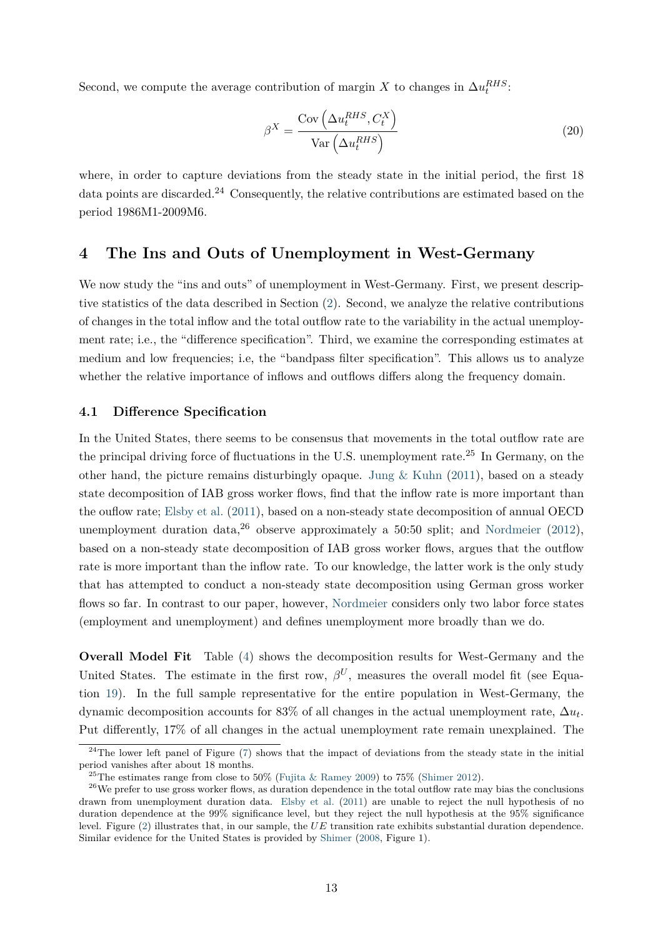Second, we compute the average contribution of margin *X* to changes in  $\Delta u_t^{RHS}$ .

$$
\beta^X = \frac{\text{Cov}\left(\Delta u_t^{RHS}, C_t^X\right)}{\text{Var}\left(\Delta u_t^{RHS}\right)}\tag{20}
$$

where, in order to capture deviations from the steady state in the initial period, the first 18 data points are discarded.<sup>24</sup> Consequently, the relative contributions are estimated based on the period 1986M1-2009M6.

# <span id="page-13-0"></span>**4 The Ins and Outs of Unemployment in West-Germany**

We now study the "ins and outs" of unemployment in West-Germany. First, we present descriptive statistics of the data described in Section [\(2\)](#page-3-0). Second, we analyze the relative contributions of changes in the total inflow and the total outflow rate to the variability in the actual unemployment rate; i.e., the "difference specification". Third, we examine the corresponding estimates at medium and low frequencies; i.e, the "bandpass filter specification". This allows us to analyze whether the relative importance of inflows and outflows differs along the frequency domain.

### **4.1 Difference Specification**

In the United States, there seems to be consensus that movements in the total outflow rate are the principal driving force of fluctuations in the U.S. unemployment rate.<sup>25</sup> In Germany, on the other hand, the picture remains disturbingly opaque. [Jung & Kuhn](#page-23-5) [\(2011\)](#page-23-5), based on a steady state decomposition of IAB gross worker flows, find that the inflow rate is more important than the ouflow rate; [Elsby et al.](#page-22-5) [\(2011\)](#page-22-5), based on a non-steady state decomposition of annual OECD unemployment duration data,  $2^6$  observe approximately a 50:50 split; and [Nordmeier](#page-23-7) [\(2012\)](#page-23-7), based on a non-steady state decomposition of IAB gross worker flows, argues that the outflow rate is more important than the inflow rate. To our knowledge, the latter work is the only study that has attempted to conduct a non-steady state decomposition using German gross worker flows so far. In contrast to our paper, however, [Nordmeier](#page-23-7) considers only two labor force states (employment and unemployment) and defines unemployment more broadly than we do.

**Overall Model Fit** Table [\(4\)](#page-32-0) shows the decomposition results for West-Germany and the United States. The estimate in the first row,  $\beta^{U}$ , measures the overall model fit (see Equation [19\)](#page-12-0). In the full sample representative for the entire population in West-Germany, the dynamic decomposition accounts for 83% of all changes in the actual unemployment rate,  $\Delta u_t$ . Put differently, 17% of all changes in the actual unemployment rate remain unexplained. The

 $^{24}$ The lower left panel of Figure [\(7\)](#page-36-2) shows that the impact of deviations from the steady state in the initial period vanishes after about 18 months.

<sup>&</sup>lt;sup>25</sup>The estimates range from close to 50% [\(Fujita & Ramey](#page-22-4) [2009\)](#page-22-4) to 75% [\(Shimer](#page-24-6) [2012\)](#page-24-6).

 $26$ We prefer to use gross worker flows, as duration dependence in the total outflow rate may bias the conclusions drawn from unemployment duration data. [Elsby et al.](#page-22-5) [\(2011\)](#page-22-5) are unable to reject the null hypothesis of no duration dependence at the 99% significance level, but they reject the null hypothesis at the 95% significance level. Figure [\(2\)](#page-35-1) illustrates that, in our sample, the *UE* transition rate exhibits substantial duration dependence. Similar evidence for the United States is provided by [Shimer](#page-24-16) [\(2008,](#page-24-16) Figure 1).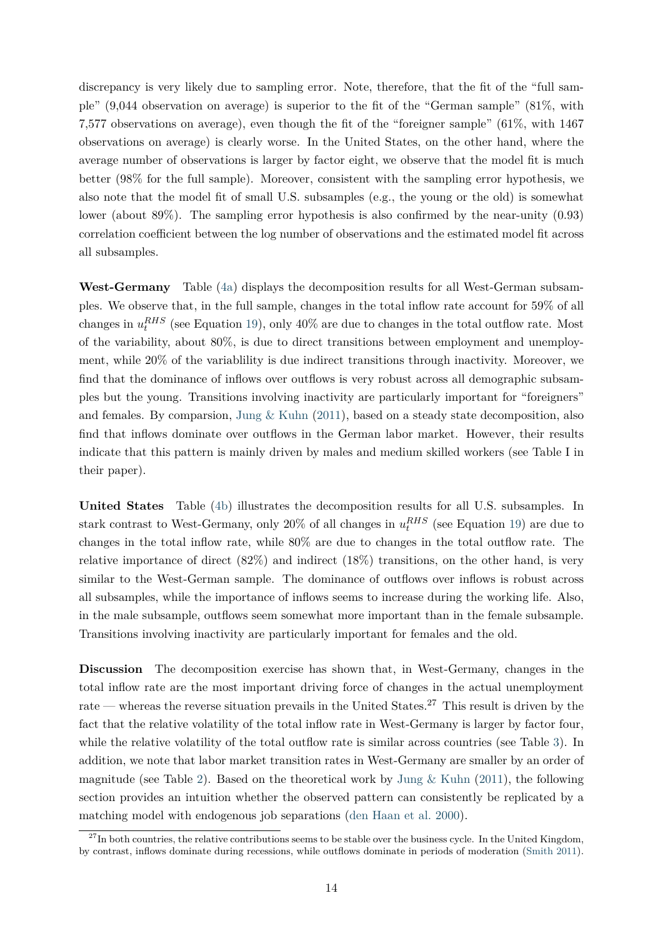discrepancy is very likely due to sampling error. Note, therefore, that the fit of the "full sample" (9,044 observation on average) is superior to the fit of the "German sample" (81%, with 7,577 observations on average), even though the fit of the "foreigner sample" (61%, with 1467 observations on average) is clearly worse. In the United States, on the other hand, where the average number of observations is larger by factor eight, we observe that the model fit is much better (98% for the full sample). Moreover, consistent with the sampling error hypothesis, we also note that the model fit of small U.S. subsamples (e.g., the young or the old) is somewhat lower (about 89%). The sampling error hypothesis is also confirmed by the near-unity (0.93) correlation coefficient between the log number of observations and the estimated model fit across all subsamples.

**West-Germany** Table [\(4a\)](#page-32-1) displays the decomposition results for all West-German subsamples. We observe that, in the full sample, changes in the total inflow rate account for 59% of all changes in  $u_t^{RHS}$  (see Equation [19\)](#page-12-0), only 40% are due to changes in the total outflow rate. Most of the variability, about 80%, is due to direct transitions between employment and unemployment, while 20% of the variablility is due indirect transitions through inactivity. Moreover, we find that the dominance of inflows over outflows is very robust across all demographic subsamples but the young. Transitions involving inactivity are particularly important for "foreigners" and females. By comparsion, Jung  $&$  Kuhn [\(2011\)](#page-23-5), based on a steady state decomposition, also find that inflows dominate over outflows in the German labor market. However, their results indicate that this pattern is mainly driven by males and medium skilled workers (see Table I in their paper).

**United States** Table [\(4b\)](#page-32-2) illustrates the decomposition results for all U.S. subsamples. In stark contrast to West-Germany, only 20% of all changes in  $u_t^{RHS}$  (see Equation [19\)](#page-12-0) are due to changes in the total inflow rate, while 80% are due to changes in the total outflow rate. The relative importance of direct  $(82\%)$  and indirect  $(18\%)$  transitions, on the other hand, is very similar to the West-German sample. The dominance of outflows over inflows is robust across all subsamples, while the importance of inflows seems to increase during the working life. Also, in the male subsample, outflows seem somewhat more important than in the female subsample. Transitions involving inactivity are particularly important for females and the old.

<span id="page-14-0"></span>**Discussion** The decomposition exercise has shown that, in West-Germany, changes in the total inflow rate are the most important driving force of changes in the actual unemployment rate — whereas the reverse situation prevails in the United States.<sup>27</sup> This result is driven by the fact that the relative volatility of the total inflow rate in West-Germany is larger by factor four, while the relative volatility of the total outflow rate is similar across countries (see Table [3\)](#page-31-0). In addition, we note that labor market transition rates in West-Germany are smaller by an order of magnitude (see Table [2\)](#page-30-0). Based on the theoretical work by Jung  $\&$  Kuhn [\(2011\)](#page-23-5), the following section provides an intuition whether the observed pattern can consistently be replicated by a matching model with endogenous job separations [\(den Haan et al.](#page-21-2) [2000\)](#page-21-2).

 $^{27}$ In both countries, the relative contributions seems to be stable over the business cycle. In the United Kingdom, by contrast, inflows dominate during recessions, while outflows dominate in periods of moderation [\(Smith](#page-24-2) [2011\)](#page-24-2).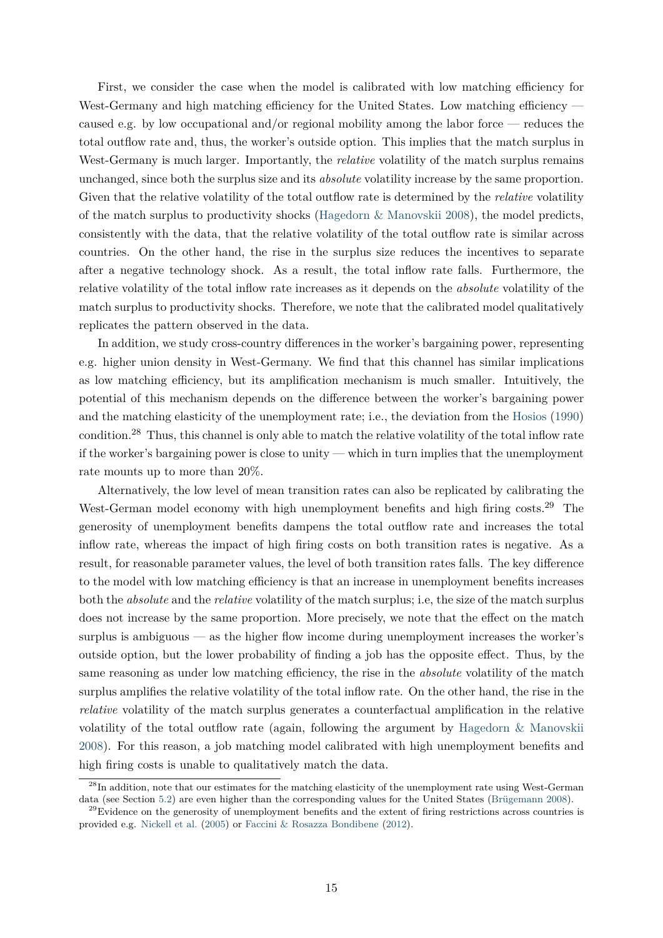First, we consider the case when the model is calibrated with low matching efficiency for West-Germany and high matching efficiency for the United States. Low matching efficiency caused e.g. by low occupational and/or regional mobility among the labor force — reduces the total outflow rate and, thus, the worker's outside option. This implies that the match surplus in West-Germany is much larger. Importantly, the *relative* volatility of the match surplus remains unchanged, since both the surplus size and its *absolute* volatility increase by the same proportion. Given that the relative volatility of the total outflow rate is determined by the *relative* volatility of the match surplus to productivity shocks (Hagedorn  $\&$  Manovskii [2008\)](#page-22-8), the model predicts, consistently with the data, that the relative volatility of the total outflow rate is similar across countries. On the other hand, the rise in the surplus size reduces the incentives to separate after a negative technology shock. As a result, the total inflow rate falls. Furthermore, the relative volatility of the total inflow rate increases as it depends on the *absolute* volatility of the match surplus to productivity shocks. Therefore, we note that the calibrated model qualitatively replicates the pattern observed in the data.

In addition, we study cross-country differences in the worker's bargaining power, representing e.g. higher union density in West-Germany. We find that this channel has similar implications as low matching efficiency, but its amplification mechanism is much smaller. Intuitively, the potential of this mechanism depends on the difference between the worker's bargaining power and the matching elasticity of the unemployment rate; i.e., the deviation from the [Hosios](#page-22-14) [\(1990\)](#page-22-14) condition.<sup>28</sup> Thus, this channel is only able to match the relative volatility of the total inflow rate if the worker's bargaining power is close to unity — which in turn implies that the unemployment rate mounts up to more than 20%.

Alternatively, the low level of mean transition rates can also be replicated by calibrating the West-German model economy with high unemployment benefits and high firing costs.<sup>29</sup> The generosity of unemployment benefits dampens the total outflow rate and increases the total inflow rate, whereas the impact of high firing costs on both transition rates is negative. As a result, for reasonable parameter values, the level of both transition rates falls. The key difference to the model with low matching efficiency is that an increase in unemployment benefits increases both the *absolute* and the *relative* volatility of the match surplus; i.e, the size of the match surplus does not increase by the same proportion. More precisely, we note that the effect on the match surplus is ambiguous — as the higher flow income during unemployment increases the worker's outside option, but the lower probability of finding a job has the opposite effect. Thus, by the same reasoning as under low matching efficiency, the rise in the *absolute* volatility of the match surplus amplifies the relative volatility of the total inflow rate. On the other hand, the rise in the *relative* volatility of the match surplus generates a counterfactual amplification in the relative volatility of the total outflow rate (again, following the argument by [Hagedorn & Manovskii](#page-22-8) [2008\)](#page-22-8). For this reason, a job matching model calibrated with high unemployment benefits and high firing costs is unable to qualitatively match the data.

 $^{28}$ In addition, note that our estimates for the matching elasticity of the unemployment rate using West-German data (see Section [5.2\)](#page-17-0) are even higher than the corresponding values for the United States [\(Brügemann](#page-21-9) [2008\)](#page-21-9).

 $^{29}$ Evidence on the generosity of unemployment benefits and the extent of firing restrictions across countries is provided e.g. [Nickell et al.](#page-23-14) [\(2005\)](#page-23-14) or [Faccini & Rosazza Bondibene](#page-22-15) [\(2012\)](#page-22-15).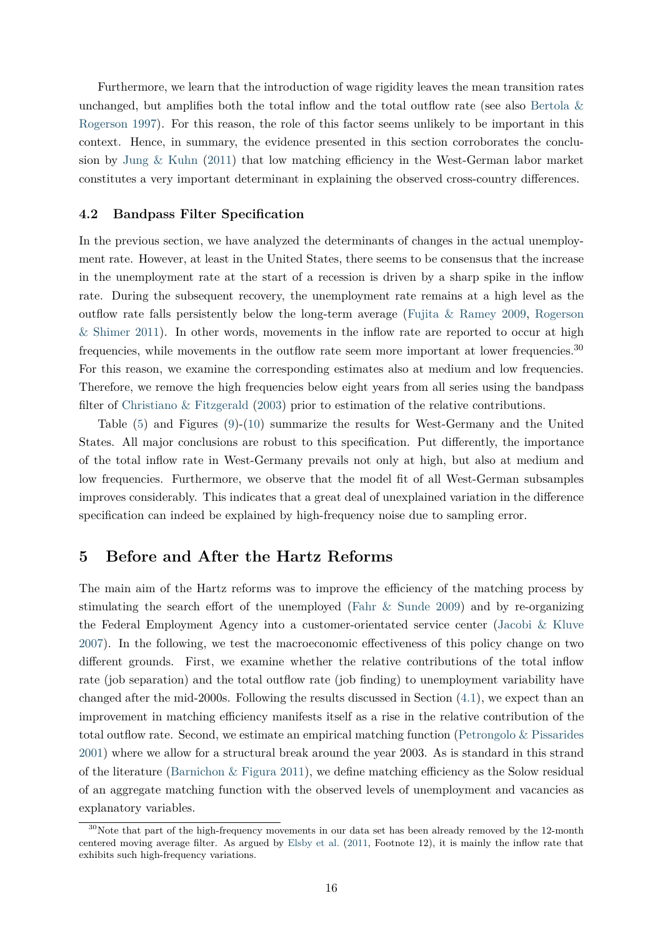Furthermore, we learn that the introduction of wage rigidity leaves the mean transition rates unchanged, but amplifies both the total inflow and the total outflow rate (see also Bertola  $\&$ [Rogerson](#page-21-10) [1997\)](#page-21-10). For this reason, the role of this factor seems unlikely to be important in this context. Hence, in summary, the evidence presented in this section corroborates the conclusion by [Jung & Kuhn](#page-23-5) [\(2011\)](#page-23-5) that low matching efficiency in the West-German labor market constitutes a very important determinant in explaining the observed cross-country differences.

#### **4.2 Bandpass Filter Specification**

In the previous section, we have analyzed the determinants of changes in the actual unemployment rate. However, at least in the United States, there seems to be consensus that the increase in the unemployment rate at the start of a recession is driven by a sharp spike in the inflow rate. During the subsequent recovery, the unemployment rate remains at a high level as the outflow rate falls persistently below the long-term average [\(Fujita & Ramey](#page-22-4) [2009,](#page-22-4) [Rogerson](#page-24-17) [& Shimer](#page-24-17) [2011\)](#page-24-17). In other words, movements in the inflow rate are reported to occur at high frequencies, while movements in the outflow rate seem more important at lower frequencies.<sup>30</sup> For this reason, we examine the corresponding estimates also at medium and low frequencies. Therefore, we remove the high frequencies below eight years from all series using the bandpass filter of [Christiano & Fitzgerald](#page-21-11) [\(2003\)](#page-21-11) prior to estimation of the relative contributions.

Table [\(5\)](#page-33-0) and Figures [\(9\)](#page-37-1)-[\(10\)](#page-38-0) summarize the results for West-Germany and the United States. All major conclusions are robust to this specification. Put differently, the importance of the total inflow rate in West-Germany prevails not only at high, but also at medium and low frequencies. Furthermore, we observe that the model fit of all West-German subsamples improves considerably. This indicates that a great deal of unexplained variation in the difference specification can indeed be explained by high-frequency noise due to sampling error.

# <span id="page-16-0"></span>**5 Before and After the Hartz Reforms**

The main aim of the Hartz reforms was to improve the efficiency of the matching process by stimulating the search effort of the unemployed [\(Fahr & Sunde](#page-22-0) [2009\)](#page-22-0) and by re-organizing the Federal Employment Agency into a customer-orientated service center [\(Jacobi & Kluve](#page-23-0) [2007\)](#page-23-0). In the following, we test the macroeconomic effectiveness of this policy change on two different grounds. First, we examine whether the relative contributions of the total inflow rate (job separation) and the total outflow rate (job finding) to unemployment variability have changed after the mid-2000s. Following the results discussed in Section [\(4.1\)](#page-14-0), we expect than an improvement in matching efficiency manifests itself as a rise in the relative contribution of the total outflow rate. Second, we estimate an empirical matching function (Petrongolo  $\&$  Pissarides [2001\)](#page-24-3) where we allow for a structural break around the year 2003. As is standard in this strand of the literature (Barnichon  $\&$  Figura [2011\)](#page-21-1), we define matching efficiency as the Solow residual of an aggregate matching function with the observed levels of unemployment and vacancies as explanatory variables.

 $30$ Note that part of the high-frequency movements in our data set has been already removed by the 12-month centered moving average filter. As argued by [Elsby et al.](#page-22-5) [\(2011,](#page-22-5) Footnote 12), it is mainly the inflow rate that exhibits such high-frequency variations.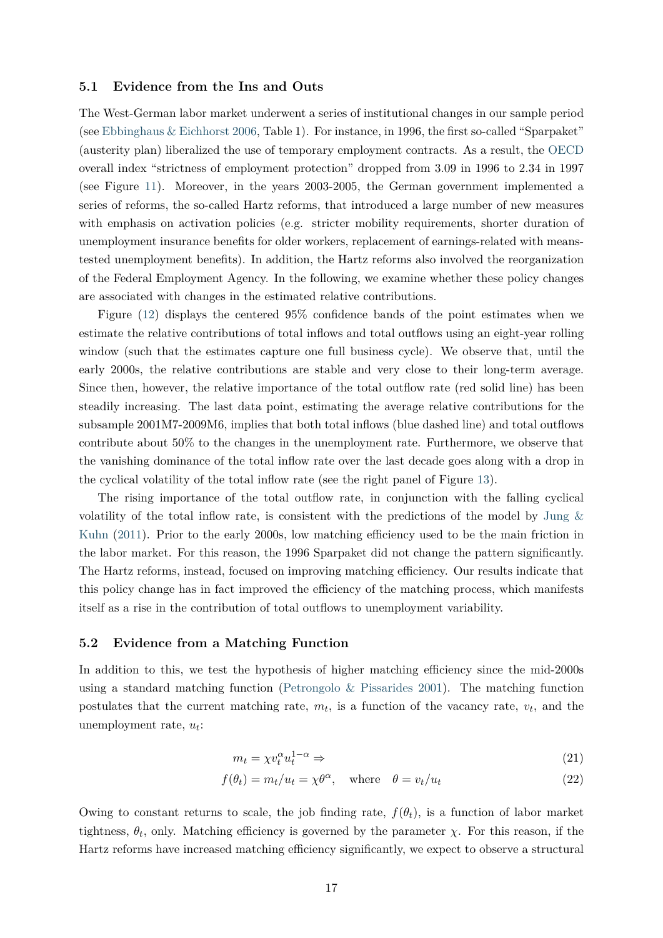#### <span id="page-17-2"></span>**5.1 Evidence from the Ins and Outs**

The West-German labor market underwent a series of institutional changes in our sample period (see [Ebbinghaus & Eichhorst](#page-22-16) [2006,](#page-22-16) Table 1). For instance, in 1996, the first so-called "Sparpaket" (austerity plan) liberalized the use of temporary employment contracts. As a result, the [OECD](#page-23-15) overall index "strictness of employment protection" dropped from 3.09 in 1996 to 2.34 in 1997 (see Figure [11\)](#page-38-1). Moreover, in the years 2003-2005, the German government implemented a series of reforms, the so-called Hartz reforms, that introduced a large number of new measures with emphasis on activation policies (e.g. stricter mobility requirements, shorter duration of unemployment insurance benefits for older workers, replacement of earnings-related with meanstested unemployment benefits). In addition, the Hartz reforms also involved the reorganization of the Federal Employment Agency. In the following, we examine whether these policy changes are associated with changes in the estimated relative contributions.

Figure [\(12\)](#page-38-1) displays the centered 95% confidence bands of the point estimates when we estimate the relative contributions of total inflows and total outflows using an eight-year rolling window (such that the estimates capture one full business cycle). We observe that, until the early 2000s, the relative contributions are stable and very close to their long-term average. Since then, however, the relative importance of the total outflow rate (red solid line) has been steadily increasing. The last data point, estimating the average relative contributions for the subsample 2001M7-2009M6, implies that both total inflows (blue dashed line) and total outflows contribute about 50% to the changes in the unemployment rate. Furthermore, we observe that the vanishing dominance of the total inflow rate over the last decade goes along with a drop in the cyclical volatility of the total inflow rate (see the right panel of Figure [13\)](#page-38-2).

The rising importance of the total outflow rate, in conjunction with the falling cyclical volatility of the total inflow rate, is consistent with the predictions of the model by [Jung &](#page-23-5) [Kuhn](#page-23-5) [\(2011\)](#page-23-5). Prior to the early 2000s, low matching efficiency used to be the main friction in the labor market. For this reason, the 1996 Sparpaket did not change the pattern significantly. The Hartz reforms, instead, focused on improving matching efficiency. Our results indicate that this policy change has in fact improved the efficiency of the matching process, which manifests itself as a rise in the contribution of total outflows to unemployment variability.

#### <span id="page-17-0"></span>**5.2 Evidence from a Matching Function**

In addition to this, we test the hypothesis of higher matching efficiency since the mid-2000s using a standard matching function (Petrongolo  $\&$  Pissarides [2001\)](#page-24-3). The matching function postulates that the current matching rate,  $m_t$ , is a function of the vacancy rate,  $v_t$ , and the unemployment rate, *u<sup>t</sup>* :

<span id="page-17-1"></span>
$$
m_t = \chi v_t^{\alpha} u_t^{1-\alpha} \Rightarrow \tag{21}
$$

$$
f(\theta_t) = m_t/u_t = \chi \theta^{\alpha}, \quad \text{where} \quad \theta = v_t/u_t \tag{22}
$$

Owing to constant returns to scale, the job finding rate,  $f(\theta_t)$ , is a function of labor market tightness,  $\theta_t$ , only. Matching efficiency is governed by the parameter  $\chi$ . For this reason, if the Hartz reforms have increased matching efficiency significantly, we expect to observe a structural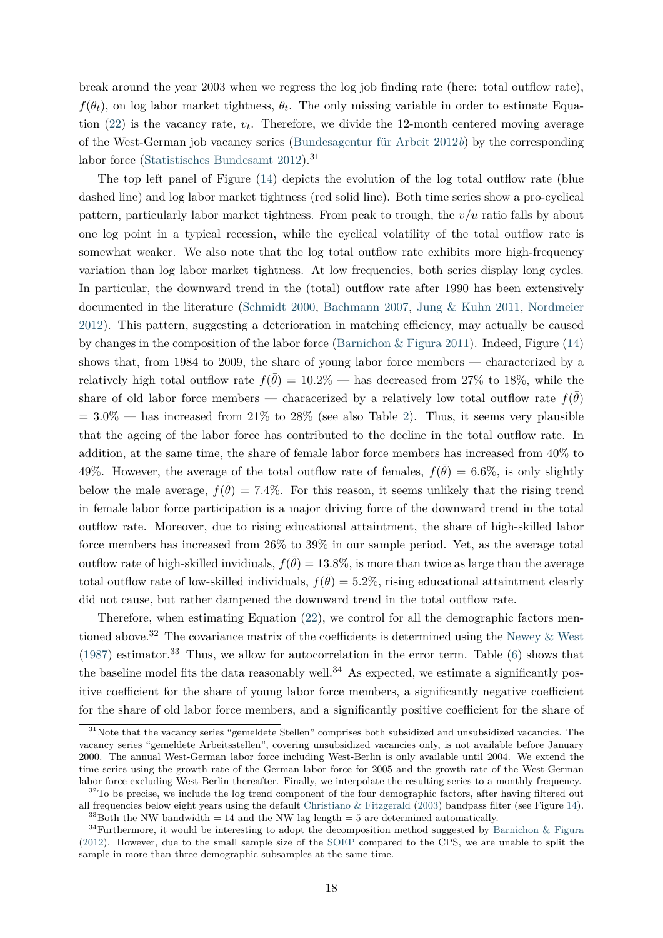break around the year 2003 when we regress the log job finding rate (here: total outflow rate),  $f(\theta_t)$ , on log labor market tightness,  $\theta_t$ . The only missing variable in order to estimate Equation  $(22)$  is the vacancy rate,  $v_t$ . Therefore, we divide the 12-month centered moving average of the West-German job vacancy series [\(Bundesagentur für Arbeit](#page-21-12) [2012](#page-21-12)*b*) by the corresponding labor force [\(Statistisches Bundesamt](#page-24-10) [2012\)](#page-24-10).<sup>31</sup>

The top left panel of Figure [\(14\)](#page-39-0) depicts the evolution of the log total outflow rate (blue dashed line) and log labor market tightness (red solid line). Both time series show a pro-cyclical pattern, particularly labor market tightness. From peak to trough, the *v/u* ratio falls by about one log point in a typical recession, while the cyclical volatility of the total outflow rate is somewhat weaker. We also note that the log total outflow rate exhibits more high-frequency variation than log labor market tightness. At low frequencies, both series display long cycles. In particular, the downward trend in the (total) outflow rate after 1990 has been extensively documented in the literature [\(Schmidt](#page-24-15) [2000,](#page-24-15) [Bachmann](#page-21-13) [2007,](#page-21-13) [Jung & Kuhn](#page-23-5) [2011,](#page-23-5) [Nordmeier](#page-23-7) [2012\)](#page-23-7). This pattern, suggesting a deterioration in matching efficiency, may actually be caused by changes in the composition of the labor force [\(Barnichon & Figura](#page-21-1) [2011\)](#page-21-1). Indeed, Figure [\(14\)](#page-39-0) shows that, from 1984 to 2009, the share of young labor force members — characterized by a relatively high total outflow rate  $f(\bar{\theta}) = 10.2\%$  — has decreased from 27% to 18%, while the share of old labor force members — characerized by a relatively low total outflow rate  $f(\bar{\theta})$  $= 3.0\%$  — has increased from 21% to 28% (see also Table [2\)](#page-30-0). Thus, it seems very plausible that the ageing of the labor force has contributed to the decline in the total outflow rate. In addition, at the same time, the share of female labor force members has increased from 40% to 49%. However, the average of the total outflow rate of females,  $f(\bar{\theta}) = 6.6\%$ , is only slightly below the male average,  $f(\bar{\theta}) = 7.4\%$ . For this reason, it seems unlikely that the rising trend in female labor force participation is a major driving force of the downward trend in the total outflow rate. Moreover, due to rising educational attaintment, the share of high-skilled labor force members has increased from 26% to 39% in our sample period. Yet, as the average total outflow rate of high-skilled invidiuals,  $f(\bar{\theta}) = 13.8\%$ , is more than twice as large than the average total outflow rate of low-skilled individuals,  $f(\bar{\theta}) = 5.2\%$ , rising educational attaintment clearly did not cause, but rather dampened the downward trend in the total outflow rate.

Therefore, when estimating Equation [\(22\)](#page-17-1), we control for all the demographic factors mentioned above.<sup>32</sup> The covariance matrix of the coefficients is determined using the Newey  $\&$  West [\(1987\)](#page-23-16) estimator.<sup>33</sup> Thus, we allow for autocorrelation in the error term. Table [\(6\)](#page-34-0) shows that the baseline model fits the data reasonably well.<sup>34</sup> As expected, we estimate a significantly positive coefficient for the share of young labor force members, a significantly negative coefficient for the share of old labor force members, and a significantly positive coefficient for the share of

<sup>&</sup>lt;sup>31</sup>Note that the vacancy series "gemeldete Stellen" comprises both subsidized and unsubsidized vacancies. The vacancy series "gemeldete Arbeitsstellen", covering unsubsidized vacancies only, is not available before January 2000. The annual West-German labor force including West-Berlin is only available until 2004. We extend the time series using the growth rate of the German labor force for 2005 and the growth rate of the West-German labor force excluding West-Berlin thereafter. Finally, we interpolate the resulting series to a monthly frequency.

 $32$ To be precise, we include the log trend component of the four demographic factors, after having filtered out all frequencies below eight years using the default [Christiano & Fitzgerald](#page-21-11) [\(2003\)](#page-21-11) bandpass filter (see Figure [14\)](#page-39-0).  $33$ Both the NW bandwidth = 14 and the NW lag length = 5 are determined automatically.

 $34$ Furthermore, it would be interesting to adopt the decomposition method suggested by [Barnichon & Figura](#page-21-14) [\(2012\)](#page-21-14). However, due to the small sample size of the [SOEP](#page-24-4) compared to the CPS, we are unable to split the sample in more than three demographic subsamples at the same time.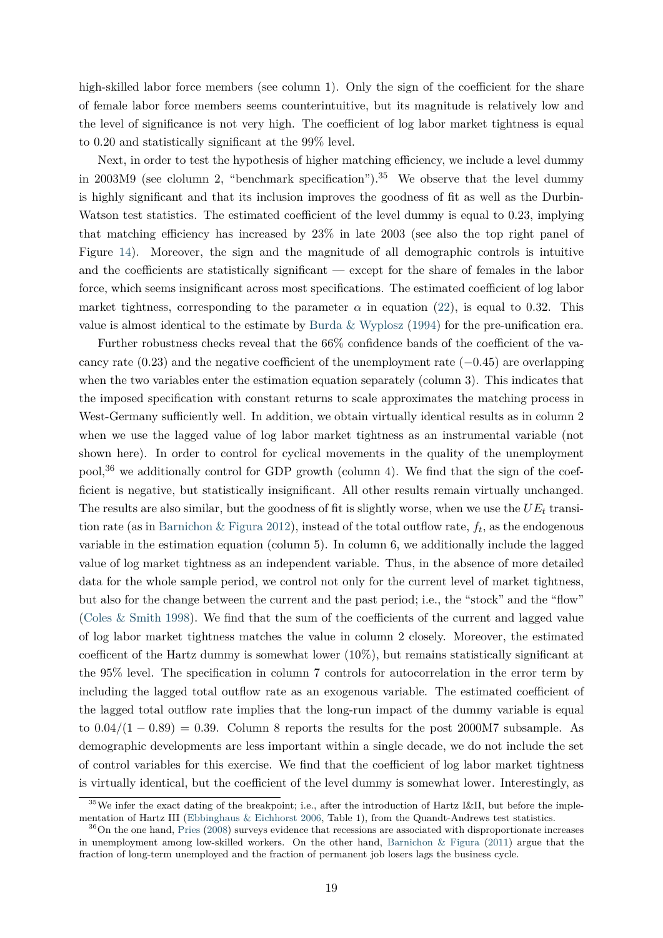high-skilled labor force members (see column 1). Only the sign of the coefficient for the share of female labor force members seems counterintuitive, but its magnitude is relatively low and the level of significance is not very high. The coefficient of log labor market tightness is equal to 0*.*20 and statistically significant at the 99% level.

Next, in order to test the hypothesis of higher matching efficiency, we include a level dummy in 2003M9 (see clolumn 2, "benchmark specification").<sup>35</sup> We observe that the level dummy is highly significant and that its inclusion improves the goodness of fit as well as the Durbin-Watson test statistics. The estimated coefficient of the level dummy is equal to 0*.*23, implying that matching efficiency has increased by 23% in late 2003 (see also the top right panel of Figure [14\)](#page-39-0). Moreover, the sign and the magnitude of all demographic controls is intuitive and the coefficients are statistically significant — except for the share of females in the labor force, which seems insignificant across most specifications. The estimated coefficient of log labor market tightness, corresponding to the parameter  $\alpha$  in equation [\(22\)](#page-17-1), is equal to 0.32. This value is almost identical to the estimate by Burda  $\&$  Wyplosz [\(1994\)](#page-21-15) for the pre-unification era.

Further robustness checks reveal that the 66% confidence bands of the coefficient of the vacancy rate (0*.*23) and the negative coefficient of the unemployment rate (−0*.*45) are overlapping when the two variables enter the estimation equation separately (column 3). This indicates that the imposed specification with constant returns to scale approximates the matching process in West-Germany sufficiently well. In addition, we obtain virtually identical results as in column 2 when we use the lagged value of log labor market tightness as an instrumental variable (not shown here). In order to control for cyclical movements in the quality of the unemployment pool,<sup>36</sup> we additionally control for GDP growth (column 4). We find that the sign of the coefficient is negative, but statistically insignificant. All other results remain virtually unchanged. The results are also similar, but the goodness of fit is slightly worse, when we use the *UE<sup>t</sup>* transition rate (as in [Barnichon & Figura](#page-21-14) [2012\)](#page-21-14), instead of the total outflow rate, *f<sup>t</sup>* , as the endogenous variable in the estimation equation (column 5). In column 6, we additionally include the lagged value of log market tightness as an independent variable. Thus, in the absence of more detailed data for the whole sample period, we control not only for the current level of market tightness, but also for the change between the current and the past period; i.e., the "stock" and the "flow" [\(Coles & Smith](#page-21-16) [1998\)](#page-21-16). We find that the sum of the coefficients of the current and lagged value of log labor market tightness matches the value in column 2 closely. Moreover, the estimated coefficent of the Hartz dummy is somewhat lower (10%), but remains statistically significant at the 95% level. The specification in column 7 controls for autocorrelation in the error term by including the lagged total outflow rate as an exogenous variable. The estimated coefficient of the lagged total outflow rate implies that the long-run impact of the dummy variable is equal to  $0.04/(1-0.89) = 0.39$ . Column 8 reports the results for the post 2000M7 subsample. As demographic developments are less important within a single decade, we do not include the set of control variables for this exercise. We find that the coefficient of log labor market tightness is virtually identical, but the coefficient of the level dummy is somewhat lower. Interestingly, as

<sup>&</sup>lt;sup>35</sup>We infer the exact dating of the breakpoint; i.e., after the introduction of Hartz I&II, but before the implementation of Hartz III [\(Ebbinghaus & Eichhorst](#page-22-16) [2006,](#page-22-16) Table 1), from the Quandt-Andrews test statistics.

<sup>&</sup>lt;sup>36</sup>On the one hand, [Pries](#page-24-18) [\(2008\)](#page-24-18) surveys evidence that recessions are associated with disproportionate increases in unemployment among low-skilled workers. On the other hand, Barnichon  $\&$  Figura [\(2011\)](#page-21-1) argue that the fraction of long-term unemployed and the fraction of permanent job losers lags the business cycle.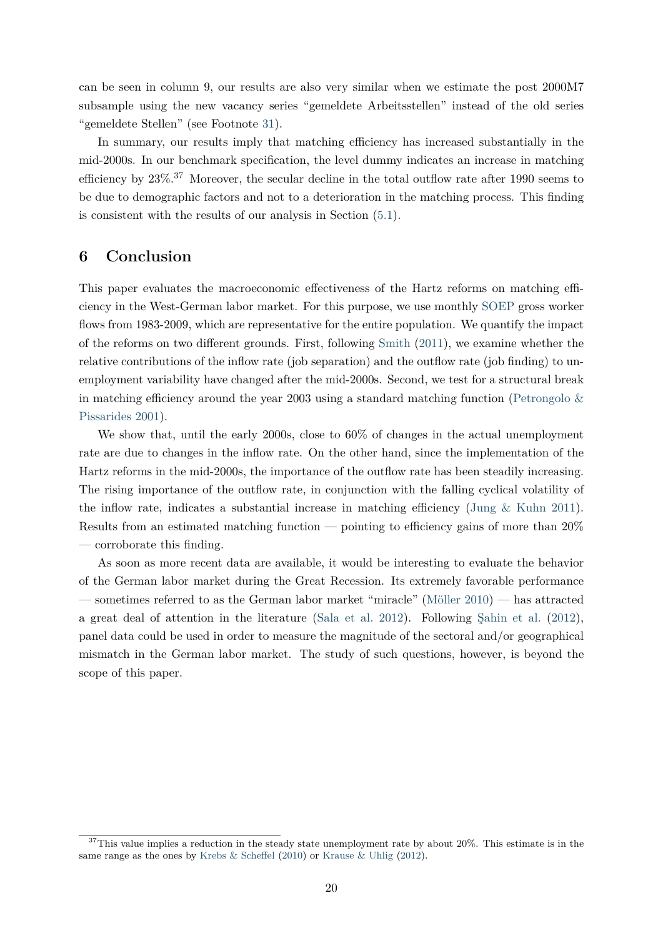can be seen in column 9, our results are also very similar when we estimate the post 2000M7 subsample using the new vacancy series "gemeldete Arbeitsstellen" instead of the old series "gemeldete Stellen" (see Footnote [31\)](#page-17-1).

In summary, our results imply that matching efficiency has increased substantially in the mid-2000s. In our benchmark specification, the level dummy indicates an increase in matching efficiency by 23%.<sup>37</sup> Moreover, the secular decline in the total outflow rate after 1990 seems to be due to demographic factors and not to a deterioration in the matching process. This finding is consistent with the results of our analysis in Section [\(5.1\)](#page-17-2).

# <span id="page-20-0"></span>**6 Conclusion**

This paper evaluates the macroeconomic effectiveness of the Hartz reforms on matching efficiency in the West-German labor market. For this purpose, we use monthly [SOEP](#page-24-4) gross worker flows from 1983-2009, which are representative for the entire population. We quantify the impact of the reforms on two different grounds. First, following [Smith](#page-24-2) [\(2011\)](#page-24-2), we examine whether the relative contributions of the inflow rate (job separation) and the outflow rate (job finding) to unemployment variability have changed after the mid-2000s. Second, we test for a structural break in matching efficiency around the year 2003 using a standard matching function (Petrongolo  $\&$ [Pissarides](#page-24-3) [2001\)](#page-24-3).

We show that, until the early 2000s, close to  $60\%$  of changes in the actual unemployment rate are due to changes in the inflow rate. On the other hand, since the implementation of the Hartz reforms in the mid-2000s, the importance of the outflow rate has been steadily increasing. The rising importance of the outflow rate, in conjunction with the falling cyclical volatility of the inflow rate, indicates a substantial increase in matching efficiency (Jung  $\&$  Kuhn [2011\)](#page-23-5). Results from an estimated matching function — pointing to efficiency gains of more than 20% — corroborate this finding.

As soon as more recent data are available, it would be interesting to evaluate the behavior of the German labor market during the Great Recession. Its extremely favorable performance — sometimes referred to as the German labor market "miracle" [\(Möller](#page-23-17) [2010\)](#page-23-17) — has attracted a great deal of attention in the literature [\(Sala et al.](#page-24-0) [2012\)](#page-24-0). Following [Şahin et al.](#page-24-1) [\(2012\)](#page-24-1), panel data could be used in order to measure the magnitude of the sectoral and/or geographical mismatch in the German labor market. The study of such questions, however, is beyond the scope of this paper.

 $37$ This value implies a reduction in the steady state unemployment rate by about 20%. This estimate is in the same range as the ones by [Krebs & Scheffel](#page-23-1) [\(2010\)](#page-23-1) or [Krause & Uhlig](#page-23-2) [\(2012\)](#page-23-2).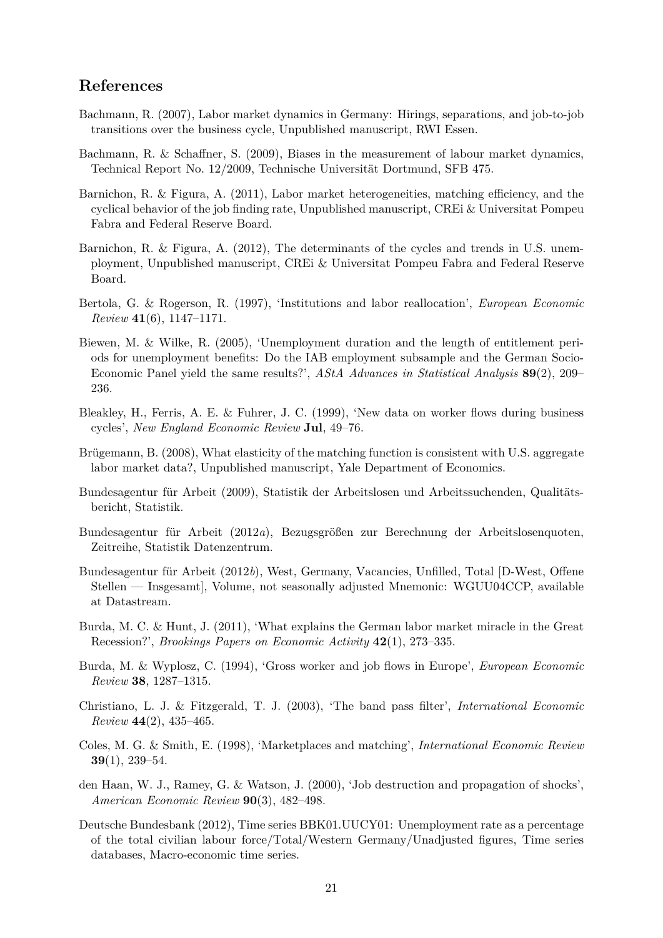# **References**

- <span id="page-21-13"></span>Bachmann, R. (2007), Labor market dynamics in Germany: Hirings, separations, and job-to-job transitions over the business cycle, Unpublished manuscript, RWI Essen.
- <span id="page-21-3"></span>Bachmann, R. & Schaffner, S. (2009), Biases in the measurement of labour market dynamics, Technical Report No. 12/2009, Technische Universität Dortmund, SFB 475.
- <span id="page-21-1"></span>Barnichon, R. & Figura, A. (2011), Labor market heterogeneities, matching efficiency, and the cyclical behavior of the job finding rate, Unpublished manuscript, CREi & Universitat Pompeu Fabra and Federal Reserve Board.
- <span id="page-21-14"></span>Barnichon, R. & Figura, A. (2012), The determinants of the cycles and trends in U.S. unemployment, Unpublished manuscript, CREi & Universitat Pompeu Fabra and Federal Reserve Board.
- <span id="page-21-10"></span>Bertola, G. & Rogerson, R. (1997), 'Institutions and labor reallocation', *European Economic Review* **41**(6), 1147–1171.
- <span id="page-21-7"></span>Biewen, M. & Wilke, R. (2005), 'Unemployment duration and the length of entitlement periods for unemployment benefits: Do the IAB employment subsample and the German Socio-Economic Panel yield the same results?', *AStA Advances in Statistical Analysis* **89**(2), 209– 236.
- <span id="page-21-6"></span>Bleakley, H., Ferris, A. E. & Fuhrer, J. C. (1999), 'New data on worker flows during business cycles', *New England Economic Review* **Jul**, 49–76.
- <span id="page-21-9"></span>Brügemann, B. (2008), What elasticity of the matching function is consistent with U.S. aggregate labor market data?, Unpublished manuscript, Yale Department of Economics.
- <span id="page-21-0"></span>Bundesagentur für Arbeit (2009), Statistik der Arbeitslosen und Arbeitssuchenden, Qualitätsbericht, Statistik.
- <span id="page-21-4"></span>Bundesagentur für Arbeit (2012*a*), Bezugsgrößen zur Berechnung der Arbeitslosenquoten, Zeitreihe, Statistik Datenzentrum.
- <span id="page-21-12"></span>Bundesagentur für Arbeit (2012*b*), West, Germany, Vacancies, Unfilled, Total [D-West, Offene Stellen — Insgesamt], Volume, not seasonally adjusted Mnemonic: WGUU04CCP, available at Datastream.
- <span id="page-21-8"></span>Burda, M. C. & Hunt, J. (2011), 'What explains the German labor market miracle in the Great Recession?', *Brookings Papers on Economic Activity* **42**(1), 273–335.
- <span id="page-21-15"></span>Burda, M. & Wyplosz, C. (1994), 'Gross worker and job flows in Europe', *European Economic Review* **38**, 1287–1315.
- <span id="page-21-11"></span>Christiano, L. J. & Fitzgerald, T. J. (2003), 'The band pass filter', *International Economic Review* **44**(2), 435–465.
- <span id="page-21-16"></span>Coles, M. G. & Smith, E. (1998), 'Marketplaces and matching', *International Economic Review* **39**(1), 239–54.
- <span id="page-21-2"></span>den Haan, W. J., Ramey, G. & Watson, J. (2000), 'Job destruction and propagation of shocks', *American Economic Review* **90**(3), 482–498.
- <span id="page-21-5"></span>Deutsche Bundesbank (2012), Time series BBK01.UUCY01: Unemployment rate as a percentage of the total civilian labour force/Total/Western Germany/Unadjusted figures, Time series databases, Macro-economic time series.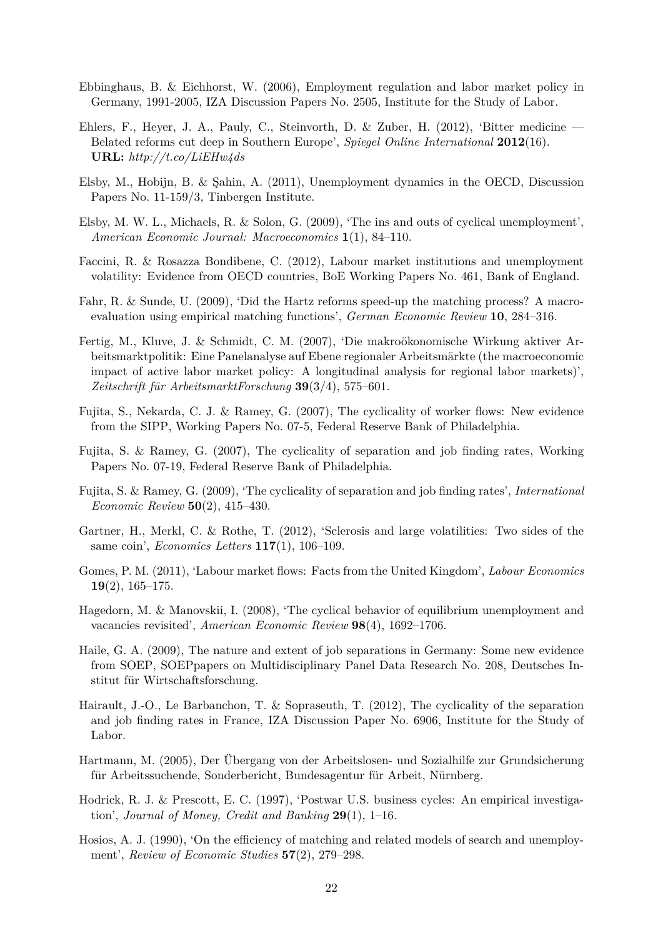- <span id="page-22-17"></span><span id="page-22-16"></span>Ebbinghaus, B. & Eichhorst, W. (2006), Employment regulation and labor market policy in Germany, 1991-2005, IZA Discussion Papers No. 2505, Institute for the Study of Labor.
- <span id="page-22-1"></span>Ehlers, F., Heyer, J. A., Pauly, C., Steinvorth, D. & Zuber, H. (2012), 'Bitter medicine — Belated reforms cut deep in Southern Europe', *Spiegel Online International* **2012**(16). **URL:** *http://t.co/LiEHw4ds*
- <span id="page-22-5"></span>Elsby, M., Hobijn, B. & Şahin, A. (2011), Unemployment dynamics in the OECD, Discussion Papers No. 11-159/3, Tinbergen Institute.
- <span id="page-22-3"></span>Elsby, M. W. L., Michaels, R. & Solon, G. (2009), 'The ins and outs of cyclical unemployment', *American Economic Journal: Macroeconomics* **1**(1), 84–110.
- <span id="page-22-15"></span>Faccini, R. & Rosazza Bondibene, C. (2012), Labour market institutions and unemployment volatility: Evidence from OECD countries, BoE Working Papers No. 461, Bank of England.
- <span id="page-22-0"></span>Fahr, R. & Sunde, U. (2009), 'Did the Hartz reforms speed-up the matching process? A macroevaluation using empirical matching functions', *German Economic Review* **10**, 284–316.
- <span id="page-22-2"></span>Fertig, M., Kluve, J. & Schmidt, C. M. (2007), 'Die makroökonomische Wirkung aktiver Arbeitsmarktpolitik: Eine Panelanalyse auf Ebene regionaler Arbeitsmärkte (the macroeconomic impact of active labor market policy: A longitudinal analysis for regional labor markets)', *Zeitschrift für ArbeitsmarktForschung* **39**(3/4), 575–601.
- <span id="page-22-11"></span>Fujita, S., Nekarda, C. J. & Ramey, G. (2007), The cyclicality of worker flows: New evidence from the SIPP, Working Papers No. 07-5, Federal Reserve Bank of Philadelphia.
- <span id="page-22-12"></span>Fujita, S. & Ramey, G. (2007), The cyclicality of separation and job finding rates, Working Papers No. 07-19, Federal Reserve Bank of Philadelphia.
- <span id="page-22-4"></span>Fujita, S. & Ramey, G. (2009), 'The cyclicality of separation and job finding rates', *International Economic Review* **50**(2), 415–430.
- <span id="page-22-13"></span>Gartner, H., Merkl, C. & Rothe, T. (2012), 'Sclerosis and large volatilities: Two sides of the same coin', *Economics Letters* **117**(1), 106–109.
- <span id="page-22-6"></span>Gomes, P. M. (2011), 'Labour market flows: Facts from the United Kingdom', *Labour Economics* **19**(2), 165–175.
- <span id="page-22-8"></span>Hagedorn, M. & Manovskii, I. (2008), 'The cyclical behavior of equilibrium unemployment and vacancies revisited', *American Economic Review* **98**(4), 1692–1706.
- <span id="page-22-9"></span>Haile, G. A. (2009), The nature and extent of job separations in Germany: Some new evidence from SOEP, SOEPpapers on Multidisciplinary Panel Data Research No. 208, Deutsches Institut für Wirtschaftsforschung.
- <span id="page-22-7"></span>Hairault, J.-O., Le Barbanchon, T. & Sopraseuth, T. (2012), The cyclicality of the separation and job finding rates in France, IZA Discussion Paper No. 6906, Institute for the Study of Labor.
- <span id="page-22-10"></span>Hartmann, M. (2005), Der Übergang von der Arbeitslosen- und Sozialhilfe zur Grundsicherung für Arbeitssuchende, Sonderbericht, Bundesagentur für Arbeit, Nürnberg.
- <span id="page-22-18"></span>Hodrick, R. J. & Prescott, E. C. (1997), 'Postwar U.S. business cycles: An empirical investigation', *Journal of Money, Credit and Banking* **29**(1), 1–16.
- <span id="page-22-14"></span>Hosios, A. J. (1990), 'On the efficiency of matching and related models of search and unemployment', *Review of Economic Studies* **57**(2), 279–298.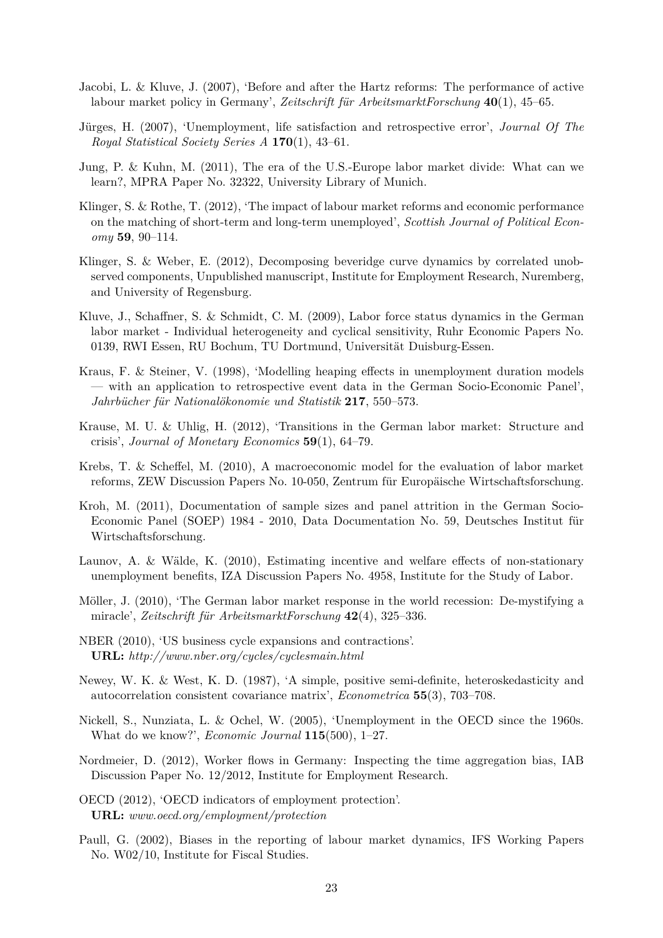- <span id="page-23-0"></span>Jacobi, L. & Kluve, J. (2007), 'Before and after the Hartz reforms: The performance of active labour market policy in Germany', *Zeitschrift für ArbeitsmarktForschung* **40**(1), 45–65.
- <span id="page-23-11"></span>Jürges, H. (2007), 'Unemployment, life satisfaction and retrospective error', *Journal Of The Royal Statistical Society Series A* **170**(1), 43–61.
- <span id="page-23-5"></span>Jung, P. & Kuhn, M. (2011), The era of the U.S.-Europe labor market divide: What can we learn?, MPRA Paper No. 32322, University Library of Munich.
- <span id="page-23-4"></span>Klinger, S. & Rothe, T. (2012), 'The impact of labour market reforms and economic performance on the matching of short-term and long-term unemployed', *Scottish Journal of Political Economy* **59**, 90–114.
- <span id="page-23-6"></span>Klinger, S. & Weber, E. (2012), Decomposing beveridge curve dynamics by correlated unobserved components, Unpublished manuscript, Institute for Employment Research, Nuremberg, and University of Regensburg.
- <span id="page-23-10"></span>Kluve, J., Schaffner, S. & Schmidt, C. M. (2009), Labor force status dynamics in the German labor market - Individual heterogeneity and cyclical sensitivity, Ruhr Economic Papers No. 0139, RWI Essen, RU Bochum, TU Dortmund, Universität Duisburg-Essen.
- <span id="page-23-13"></span>Kraus, F. & Steiner, V. (1998), 'Modelling heaping effects in unemployment duration models — with an application to retrospective event data in the German Socio-Economic Panel', *Jahrbücher für Nationalökonomie und Statistik* **217**, 550–573.
- <span id="page-23-2"></span>Krause, M. U. & Uhlig, H. (2012), 'Transitions in the German labor market: Structure and crisis', *Journal of Monetary Economics* **59**(1), 64–79.
- <span id="page-23-1"></span>Krebs, T. & Scheffel, M. (2010), A macroeconomic model for the evaluation of labor market reforms, ZEW Discussion Papers No. 10-050, Zentrum für Europäische Wirtschaftsforschung.
- <span id="page-23-8"></span>Kroh, M. (2011), Documentation of sample sizes and panel attrition in the German Socio-Economic Panel (SOEP) 1984 - 2010, Data Documentation No. 59, Deutsches Institut für Wirtschaftsforschung.
- <span id="page-23-3"></span>Launov, A. & Wälde, K. (2010), Estimating incentive and welfare effects of non-stationary unemployment benefits, IZA Discussion Papers No. 4958, Institute for the Study of Labor.
- <span id="page-23-17"></span>Möller, J. (2010), 'The German labor market response in the world recession: De-mystifying a miracle', *Zeitschrift für ArbeitsmarktForschung* **42**(4), 325–336.
- <span id="page-23-9"></span>NBER (2010), 'US business cycle expansions and contractions'. **URL:** *http://www.nber.org/cycles/cyclesmain.html*
- <span id="page-23-16"></span>Newey, W. K. & West, K. D. (1987), 'A simple, positive semi-definite, heteroskedasticity and autocorrelation consistent covariance matrix', *Econometrica* **55**(3), 703–708.
- <span id="page-23-14"></span>Nickell, S., Nunziata, L. & Ochel, W. (2005), 'Unemployment in the OECD since the 1960s. What do we know?', *Economic Journal* **115**(500), 1–27.
- <span id="page-23-7"></span>Nordmeier, D. (2012), Worker flows in Germany: Inspecting the time aggregation bias, IAB Discussion Paper No. 12/2012, Institute for Employment Research.
- <span id="page-23-15"></span>OECD (2012), 'OECD indicators of employment protection'. **URL:** *www.oecd.org/employment/protection*
- <span id="page-23-12"></span>Paull, G. (2002), Biases in the reporting of labour market dynamics, IFS Working Papers No. W02/10, Institute for Fiscal Studies.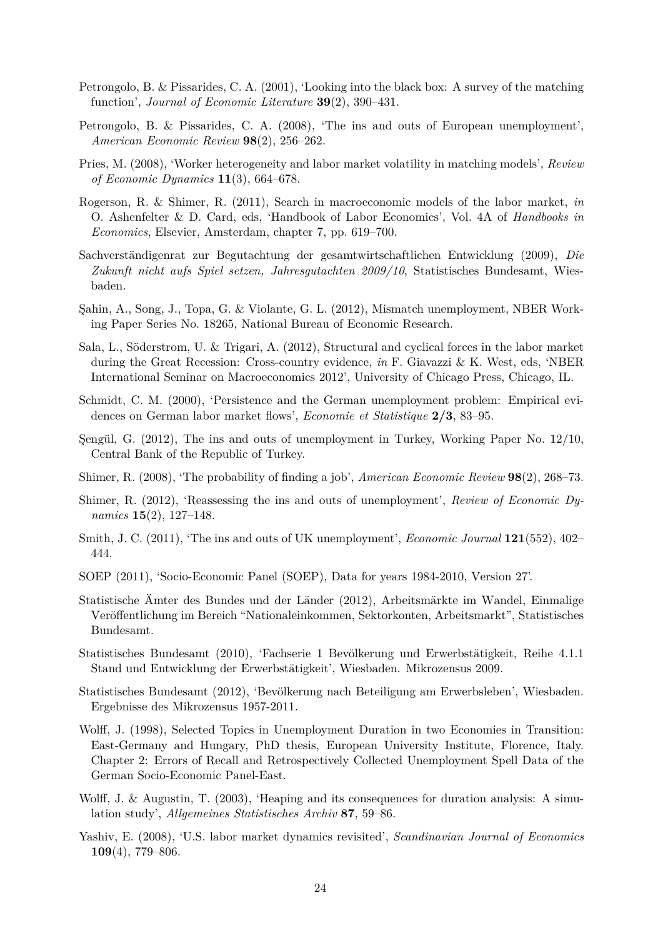- <span id="page-24-3"></span>Petrongolo, B. & Pissarides, C. A. (2001), 'Looking into the black box: A survey of the matching function', *Journal of Economic Literature* **39**(2), 390–431.
- <span id="page-24-7"></span>Petrongolo, B. & Pissarides, C. A. (2008), 'The ins and outs of European unemployment', *American Economic Review* **98**(2), 256–262.
- <span id="page-24-18"></span>Pries, M. (2008), 'Worker heterogeneity and labor market volatility in matching models', *Review of Economic Dynamics* **11**(3), 664–678.
- <span id="page-24-17"></span>Rogerson, R. & Shimer, R. (2011), Search in macroeconomic models of the labor market, *in* O. Ashenfelter & D. Card, eds, 'Handbook of Labor Economics', Vol. 4A of *Handbooks in Economics*, Elsevier, Amsterdam, chapter 7, pp. 619–700.
- <span id="page-24-11"></span>Sachverständigenrat zur Begutachtung der gesamtwirtschaftlichen Entwicklung (2009), *Die Zukunft nicht aufs Spiel setzen, Jahresgutachten 2009/10*, Statistisches Bundesamt, Wiesbaden.
- <span id="page-24-1"></span>Şahin, A., Song, J., Topa, G. & Violante, G. L. (2012), Mismatch unemployment, NBER Working Paper Series No. 18265, National Bureau of Economic Research.
- <span id="page-24-0"></span>Sala, L., Söderstrom, U. & Trigari, A. (2012), Structural and cyclical forces in the labor market during the Great Recession: Cross-country evidence, *in* F. Giavazzi & K. West, eds, 'NBER International Seminar on Macroeconomics 2012', University of Chicago Press, Chicago, IL.
- <span id="page-24-15"></span>Schmidt, C. M. (2000), 'Persistence and the German unemployment problem: Empirical evidences on German labor market flows', *Economie et Statistique* **2/3**, 83–95.
- <span id="page-24-8"></span>Şengül, G. (2012), The ins and outs of unemployment in Turkey, Working Paper No. 12/10, Central Bank of the Republic of Turkey.
- <span id="page-24-16"></span>Shimer, R. (2008), 'The probability of finding a job', *American Economic Review* **98**(2), 268–73.
- <span id="page-24-6"></span>Shimer, R. (2012), 'Reassessing the ins and outs of unemployment', *Review of Economic Dynamics* **15**(2), 127–148.
- <span id="page-24-2"></span>Smith, J. C. (2011), 'The ins and outs of UK unemployment', *Economic Journal* **121**(552), 402– 444.
- <span id="page-24-4"></span>SOEP (2011), 'Socio-Economic Panel (SOEP), Data for years 1984-2010, Version 27'.
- <span id="page-24-12"></span>Statistische Ämter des Bundes und der Länder (2012), Arbeitsmärkte im Wandel, Einmalige Veröffentlichung im Bereich "Nationaleinkommen, Sektorkonten, Arbeitsmarkt", Statistisches Bundesamt.
- <span id="page-24-9"></span>Statistisches Bundesamt (2010), 'Fachserie 1 Bevölkerung und Erwerbstätigkeit, Reihe 4.1.1 Stand und Entwicklung der Erwerbstätigkeit', Wiesbaden. Mikrozensus 2009.
- <span id="page-24-10"></span>Statistisches Bundesamt (2012), 'Bevölkerung nach Beteiligung am Erwerbsleben', Wiesbaden. Ergebnisse des Mikrozensus 1957-2011.
- <span id="page-24-13"></span>Wolff, J. (1998), Selected Topics in Unemployment Duration in two Economies in Transition: East-Germany and Hungary, PhD thesis, European University Institute, Florence, Italy. Chapter 2: Errors of Recall and Retrospectively Collected Unemployment Spell Data of the German Socio-Economic Panel-East.
- <span id="page-24-14"></span>Wolff, J. & Augustin, T. (2003), 'Heaping and its consequences for duration analysis: A simulation study', *Allgemeines Statistisches Archiv* **87**, 59–86.
- <span id="page-24-5"></span>Yashiv, E. (2008), 'U.S. labor market dynamics revisited', *Scandinavian Journal of Economics* **109**(4), 779–806.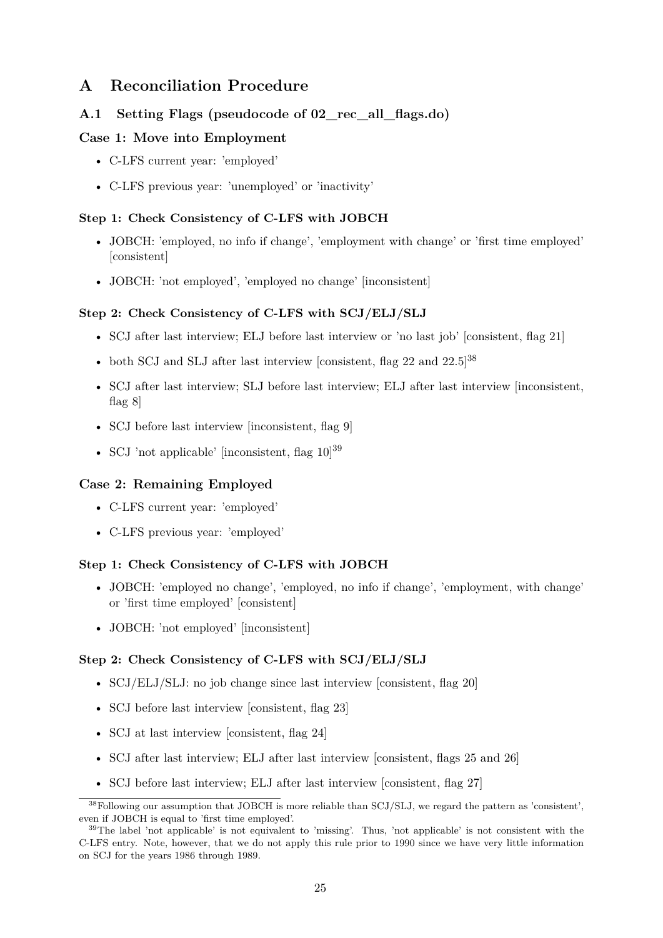# **A Reconciliation Procedure**

# <span id="page-25-0"></span>**A.1 Setting Flags (pseudocode of 02\_rec\_all\_flags.do)**

# **Case 1: Move into Employment**

- C-LFS current year: 'employed'
- C-LFS previous year: 'unemployed' or 'inactivity'

### **Step 1: Check Consistency of C-LFS with JOBCH**

- JOBCH: 'employed, no info if change', 'employment with change' or 'first time employed' [consistent]
- JOBCH: 'not employed', 'employed no change' [inconsistent]

## <span id="page-25-1"></span>**Step 2: Check Consistency of C-LFS with SCJ/ELJ/SLJ**

- SCJ after last interview; ELJ before last interview or 'no last job' [consistent, flag 21]
- both SCJ and SLJ after last interview [consistent, flag 22 and  $22.5$ ]<sup>38</sup>
- SCJ after last interview; SLJ before last interview; ELJ after last interview [inconsistent, flag 8]
- SCJ before last interview [inconsistent, flag 9]
- SCJ 'not applicable' [inconsistent, flag  $10^{39}$

# **Case 2: Remaining Employed**

- C-LFS current year: 'employed'
- C-LFS previous year: 'employed'

### **Step 1: Check Consistency of C-LFS with JOBCH**

- JOBCH: 'employed no change', 'employed, no info if change', 'employment, with change' or 'first time employed' [consistent]
- JOBCH: 'not employed' [inconsistent]

### **Step 2: Check Consistency of C-LFS with SCJ/ELJ/SLJ**

- SCJ/ELJ/SLJ: no job change since last interview [consistent, flag 20]
- SCJ before last interview [consistent, flag 23]
- SCJ at last interview [consistent, flag 24]
- SCJ after last interview; ELJ after last interview [consistent, flags 25 and 26]
- SCJ before last interview; ELJ after last interview [consistent, flag 27]

<sup>&</sup>lt;sup>38</sup>Following our assumption that JOBCH is more reliable than SCJ/SLJ, we regard the pattern as 'consistent', even if JOBCH is equal to 'first time employed'.

<sup>&</sup>lt;sup>39</sup>The label 'not applicable' is not equivalent to 'missing'. Thus, 'not applicable' is not consistent with the C-LFS entry. Note, however, that we do not apply this rule prior to 1990 since we have very little information on SCJ for the years 1986 through 1989.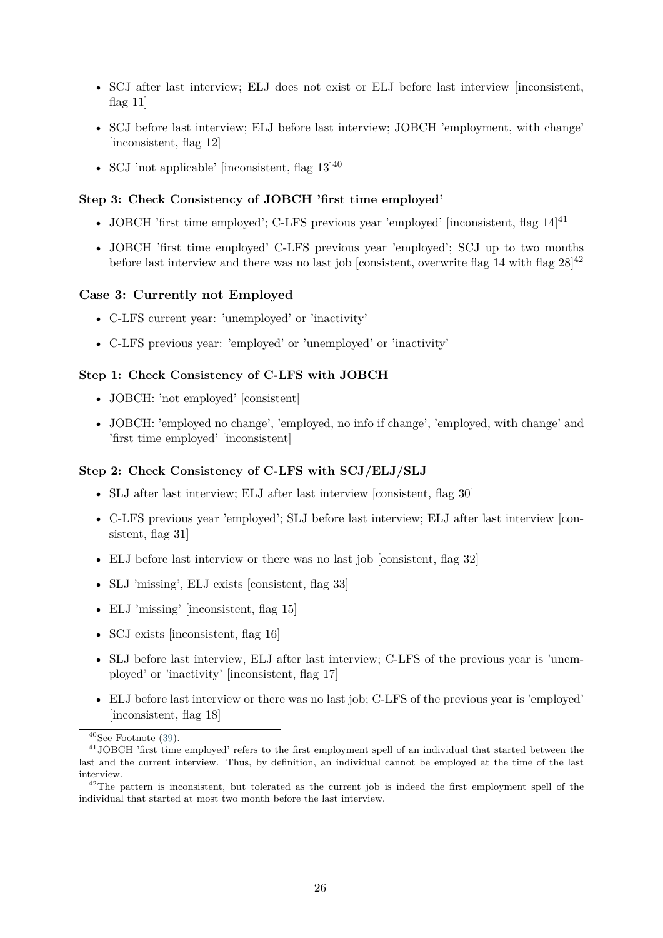- SCJ after last interview; ELJ does not exist or ELJ before last interview [inconsistent, flag 11]
- SCJ before last interview; ELJ before last interview; JOBCH 'employment, with change' [inconsistent, flag 12]
- SCJ 'not applicable' [inconsistent, flag  $13$ ]<sup>40</sup>

#### **Step 3: Check Consistency of JOBCH 'first time employed'**

- JOBCH 'first time employed'; C-LFS previous year 'employed' [inconsistent, flag  $14^{141}$
- JOBCH 'first time employed' C-LFS previous year 'employed'; SCJ up to two months before last interview and there was no last job [consistent, overwrite flag 14 with flag  $28^{142}$

### **Case 3: Currently not Employed**

- C-LFS current year: 'unemployed' or 'inactivity'
- C-LFS previous year: 'employed' or 'unemployed' or 'inactivity'

### **Step 1: Check Consistency of C-LFS with JOBCH**

- JOBCH: 'not employed' [consistent]
- JOBCH: 'employed no change', 'employed, no info if change', 'employed, with change' and 'first time employed' [inconsistent]

### **Step 2: Check Consistency of C-LFS with SCJ/ELJ/SLJ**

- SLJ after last interview; ELJ after last interview [consistent, flag 30]
- C-LFS previous year 'employed'; SLJ before last interview; ELJ after last interview [consistent, flag 31]
- ELJ before last interview or there was no last job [consistent, flag 32]
- SLJ 'missing', ELJ exists [consistent, flag 33]
- ELJ 'missing' [inconsistent, flag 15]
- SCJ exists [inconsistent, flag 16]
- SLJ before last interview, ELJ after last interview; C-LFS of the previous year is 'unemployed' or 'inactivity' [inconsistent, flag 17]
- ELJ before last interview or there was no last job; C-LFS of the previous year is 'employed' [inconsistent, flag 18]

 $40$ See Footnote [\(39\)](#page-25-1).

<sup>41</sup>JOBCH 'first time employed' refers to the first employment spell of an individual that started between the last and the current interview. Thus, by definition, an individual cannot be employed at the time of the last interview.

<sup>&</sup>lt;sup>42</sup>The pattern is inconsistent, but tolerated as the current job is indeed the first employment spell of the individual that started at most two month before the last interview.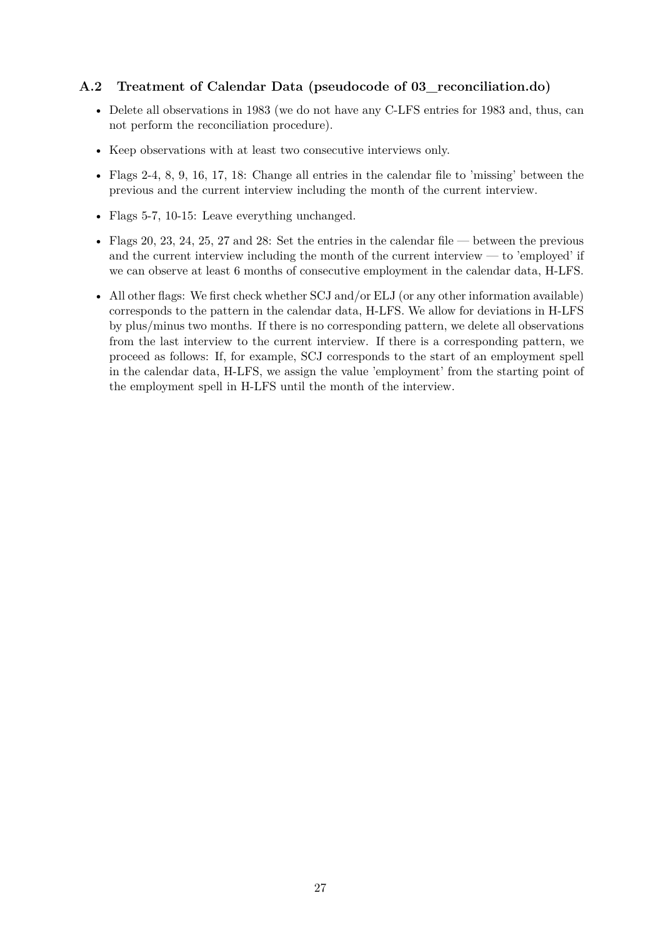# <span id="page-27-0"></span>**A.2 Treatment of Calendar Data (pseudocode of 03\_reconciliation.do)**

- Delete all observations in 1983 (we do not have any C-LFS entries for 1983 and, thus, can not perform the reconciliation procedure).
- Keep observations with at least two consecutive interviews only.
- Flags 2-4, 8, 9, 16, 17, 18: Change all entries in the calendar file to 'missing' between the previous and the current interview including the month of the current interview.
- Flags 5-7, 10-15: Leave everything unchanged.
- Flags 20, 23, 24, 25, 27 and 28: Set the entries in the calendar file between the previous and the current interview including the month of the current interview — to 'employed' if we can observe at least 6 months of consecutive employment in the calendar data, H-LFS.
- All other flags: We first check whether SCJ and/or ELJ (or any other information available) corresponds to the pattern in the calendar data, H-LFS. We allow for deviations in H-LFS by plus/minus two months. If there is no corresponding pattern, we delete all observations from the last interview to the current interview. If there is a corresponding pattern, we proceed as follows: If, for example, SCJ corresponds to the start of an employment spell in the calendar data, H-LFS, we assign the value 'employment' from the starting point of the employment spell in H-LFS until the month of the interview.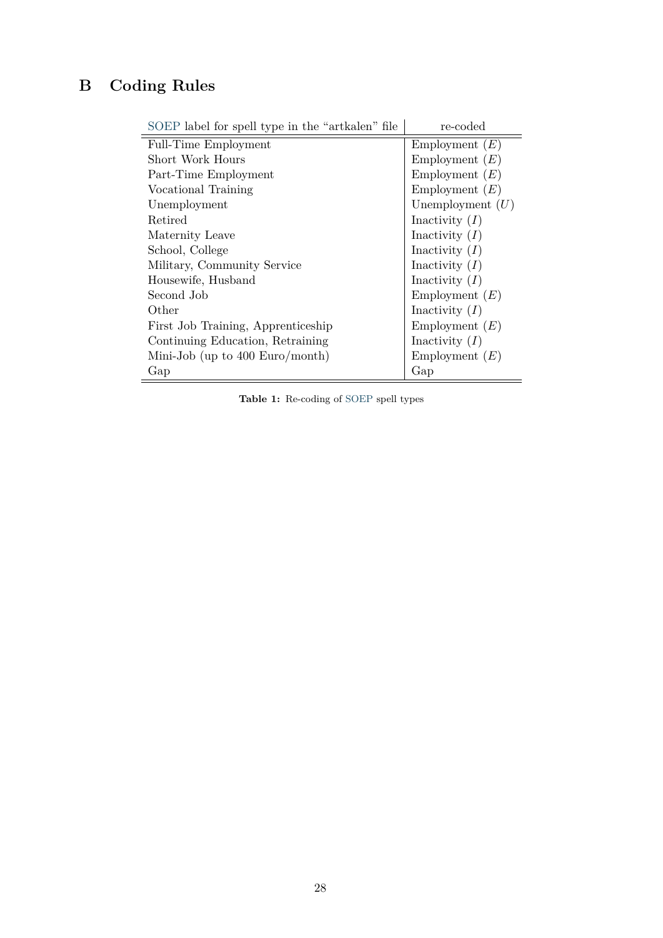# <span id="page-28-0"></span>**B Coding Rules**

| SOEP label for spell type in the "artkalen" file | re-coded           |
|--------------------------------------------------|--------------------|
| Full-Time Employment                             | Employment $(E)$   |
| Short Work Hours                                 | Employment $(E)$   |
| Part-Time Employment                             | Employment $(E)$   |
| Vocational Training                              | Employment $(E)$   |
| Unemployment                                     | Unemployment $(U)$ |
| Retired                                          | Inactivity $(I)$   |
| Maternity Leave                                  | Inactivity $(I)$   |
| School, College                                  | Inactivity $(I)$   |
| Military, Community Service                      | Inactivity $(I)$   |
| Housewife, Husband                               | Inactivity $(I)$   |
| Second Job                                       | Employment $(E)$   |
| Other                                            | Inactivity $(I)$   |
| First Job Training, Apprenticeship               | Employment $(E)$   |
| Continuing Education, Retraining                 | Inactivity $(I)$   |
| Mini-Job (up to $400 \text{ Euro/month}$ )       | Employment $(E)$   |
| Gap                                              | Gap                |

**Table 1:** Re-coding of [SOEP](#page-24-4) spell types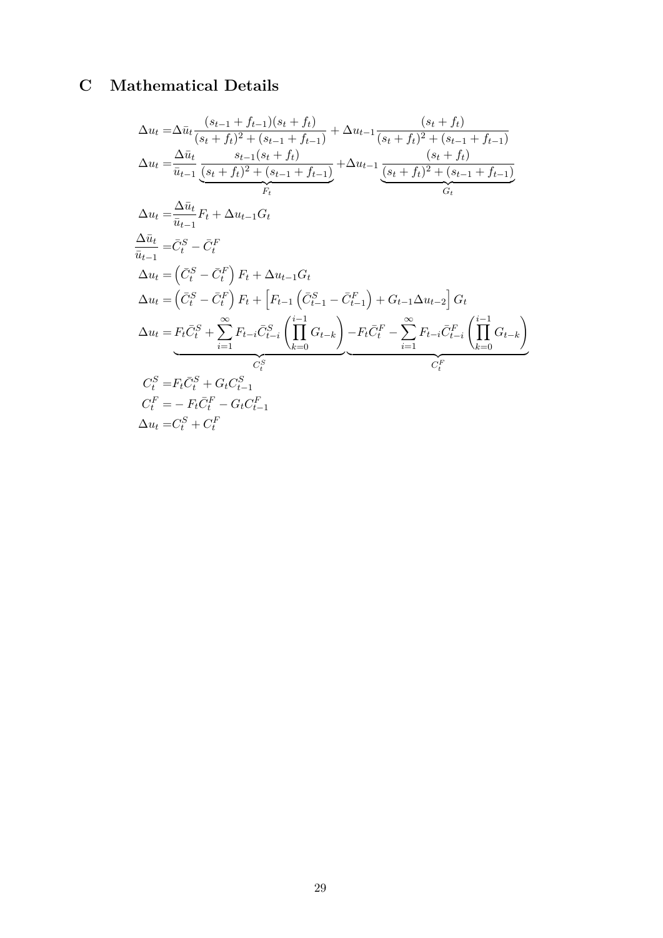# <span id="page-29-0"></span>**C Mathematical Details**

$$
\Delta u_t = \Delta \bar{u}_t \frac{(s_{t-1} + f_{t-1})(s_t + f_t)}{(s_t + f_t)^2 + (s_{t-1} + f_{t-1})} + \Delta u_{t-1} \frac{(s_t + f_t)}{(s_t + f_t)^2 + (s_{t-1} + f_{t-1})}
$$
\n
$$
\Delta u_t = \frac{\Delta \bar{u}_t}{\bar{u}_{t-1}} \frac{s_{t-1}(s_t + f_t)}{(s_t + f_t)^2 + (s_{t-1} + f_{t-1})} + \Delta u_{t-1} \frac{(s_t + f_t)}{(s_t + f_t)^2 + (s_{t-1} + f_{t-1})}
$$
\n
$$
\Delta u_t = \frac{\Delta \bar{u}_t}{\bar{u}_{t-1}} F_t + \Delta u_{t-1} G_t
$$
\n
$$
\Delta \bar{u}_t = \bar{C}_t^S - \bar{C}_t^F
$$
\n
$$
\Delta u_t = (\bar{C}_t^S - \bar{C}_t^F) F_t + \Delta u_{t-1} G_t
$$
\n
$$
\Delta u_t = (\bar{C}_t^S - \bar{C}_t^F) F_t + \left[ F_{t-1} \left( \bar{C}_{t-1}^S - \bar{C}_{t-1}^F \right) + G_{t-1} \Delta u_{t-2} \right] G_t
$$
\n
$$
\Delta u_t = F_t \bar{C}_t^S + \sum_{i=1}^{\infty} F_{t-i} \bar{C}_{t-i}^S \left( \prod_{k=0}^{i-1} G_{t-k} \right) - F_t \bar{C}_t^F - \sum_{i=1}^{\infty} F_{t-i} \bar{C}_{t-i}^F \left( \prod_{k=0}^{i-1} G_{t-k} \right)
$$
\n
$$
\bar{C}_t^S
$$
\n
$$
C_t^S = F_t \bar{C}_t^S + G_t C_{t-1}^S
$$
\n
$$
C_t^F = - F_t \bar{C}_t^F - G_t C_{t-1}^F
$$
\n
$$
\Delta u_t = C_t^S + C_t^F
$$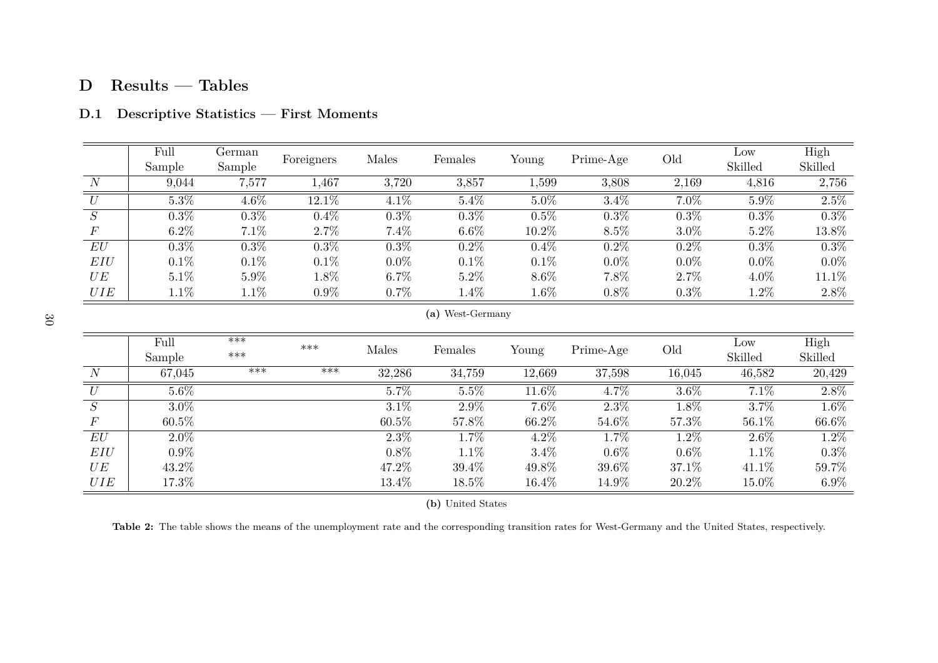# **D Results — Tables**

|                  | Full<br>Sample | German<br>Sample | Foreigners | Males   | Females    | Young   | Prime-Age | Old     | Low<br>Skilled | High<br>Skilled |
|------------------|----------------|------------------|------------|---------|------------|---------|-----------|---------|----------------|-----------------|
| $\boldsymbol{N}$ | 9,044          | 7,577            | ,467       | 3,720   | 3,857      | 1,599   | 3,808     | 2,169   | 4,816          | 2,756           |
| U                | $5.3\%$        | 4.6%             | $12.1\%$   | $4.1\%$ | 5.4%       | $5.0\%$ | 3.4%      | 7.0%    | $5.9\%$        | $2.5\%$         |
| S                | $0.3\%$        | $0.3\%$          | 0.4%       | $0.3\%$ | $0.3\%$    | 0.5%    | $0.3\%$   | 0.3%    | $0.3\%$        | 0.3%            |
| $\boldsymbol{F}$ | $6.2\%$        | 7.1%             | 2.7%       | 7.4%    | $6.6\%$    | 10.2%   | $8.5\%$   | $3.0\%$ | $5.2\%$        | 13.8%           |
| EU               | $0.3\%$        | $0.3\%$          | $0.3\%$    | $0.3\%$ | $0.2\%$    | 0.4%    | $0.2\%$   | $0.2\%$ | $0.3\%$        | $0.3\%$         |
| EIU              | $0.1\%$        | $0.1\%$          | 0.1%       | $0.0\%$ | $0.1\%$    | $0.1\%$ | $0.0\%$   | $0.0\%$ | $0.0\%$        | $0.0\%$         |
| UE               | $5.1\%$        | 5.9%             | $1.8\%$    | $6.7\%$ | 5.2%       | $8.6\%$ | 7.8%      | $2.7\%$ | 4.0%           | 11.1\%          |
| UIE              | $1.1\%$        | $1.1\%$          | $0.9\%$    | $0.7\%$ | $1.4\%$    | $1.6\%$ | 0.8%      | $0.3\%$ | $1.2\%$        | 2.8%            |
|                  |                |                  |            |         | $\sqrt{2}$ |         |           |         |                |                 |

# **D.1 Descriptive Statistics — First Moments**

**(a)** West-Germany

<span id="page-30-0"></span>

|       | Full<br>Sample | $***$<br>$***$ | ***   | Males    | Females | Young   | Prime-Age | Old     | Low<br>Skilled | High<br>Skilled |
|-------|----------------|----------------|-------|----------|---------|---------|-----------|---------|----------------|-----------------|
| N     | 67,045         | $***$          | $***$ | 32,286   | 34,759  | 12,669  | 37,598    | 16,045  | 46,582         | 20,429          |
| U     | $5.6\%$        |                |       | 5.7%     | 5.5%    | 11.6%   | 4.7%      | $3.6\%$ | 7.1%           | 2.8%            |
| S     | $3.0\%$        |                |       | 3.1%     | 2.9%    | 7.6%    | 2.3%      | 1.8%    | 3.7%           | 1.6%            |
| $\,F$ | $60.5\%$       |                |       | $60.5\%$ | 57.8%   | 66.2%   | 54.6%     | 57.3%   | 56.1%          | 66.6%           |
| EU    | $2.0\%$        |                |       | $2.3\%$  | 1.7%    | $4.2\%$ | 1.7%      | 1.2%    | $2.6\%$        | 1.2%            |
| EIU   | $0.9\%$        |                |       | $0.8\%$  | 1.1%    | $3.4\%$ | $0.6\%$   | $0.6\%$ | $1.1\%$        | 0.3%            |
| UE    | 43.2%          |                |       | 47.2%    | 39.4%   | 49.8%   | 39.6%     | 37.1\%  | 41.1%          | 59.7%           |
| UIE   | $17.3\%$       |                |       | 13.4%    | 18.5%   | 16.4%   | 14.9%     | 20.2%   | 15.0%          | $6.9\%$         |

**(b)** United States

**Table 2:** The table shows the means of the unemployment rate and the corresponding transition rates for West-Germany and the United States, respectively.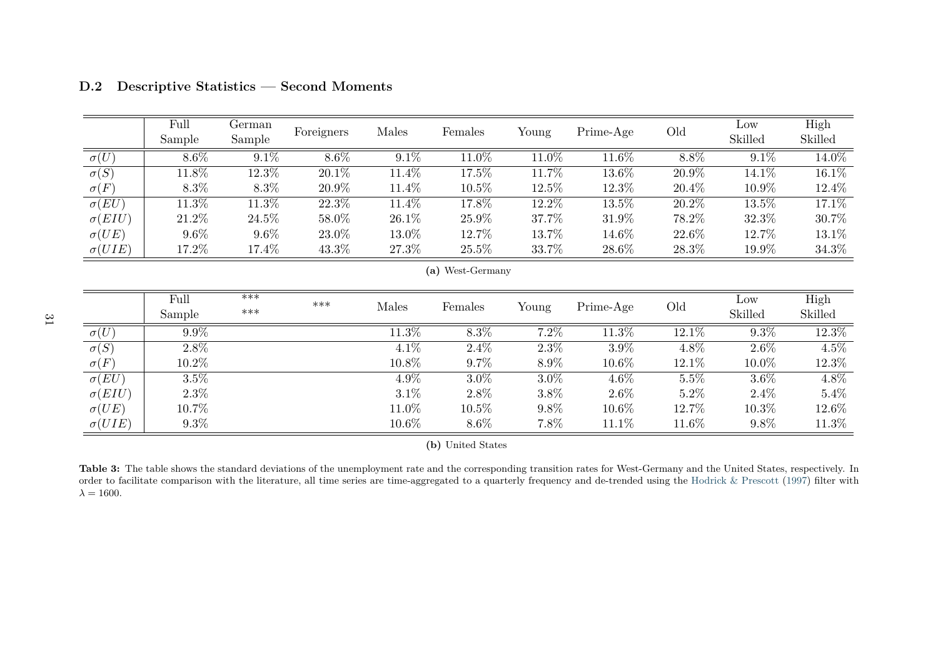|                        | Full<br>Sample | German<br>Sample | Foreigners | Males   | Females          | Young   | Prime-Age | Old     | Low<br>Skilled | High<br>Skilled |
|------------------------|----------------|------------------|------------|---------|------------------|---------|-----------|---------|----------------|-----------------|
| $\sigma(U)$            | $8.6\%$        | $9.1\%$          | $8.6\%$    | $9.1\%$ | 11.0%            | 11.0%   | 11.6%     | $8.8\%$ | $9.1\%$        | 14.0%           |
| $\overline{\sigma(S)}$ | 11.8%          | 12.3%            | 20.1%      | 11.4%   | 17.5%            | 11.7%   | 13.6%     | 20.9%   | 14.1\%         | 16.1%           |
| $\sigma(F)$            | $8.3\%$        | 8.3%             | 20.9%      | 11.4%   | $10.5\%$         | 12.5%   | 12.3%     | 20.4%   | 10.9%          | 12.4%           |
| $\sigma(EU)$           | 11.3%          | 11.3%            | 22.3%      | 11.4%   | 17.8%            | 12.2%   | $13.5\%$  | 20.2%   | 13.5%          | 17.1%           |
| $\sigma(EIU)$          | 21.2%          | 24.5%            | 58.0%      | 26.1%   | 25.9%            | 37.7%   | 31.9%     | 78.2%   | 32.3%          | 30.7%           |
| $\sigma(UE)$           | $9.6\%$        | $9.6\%$          | 23.0%      | 13.0%   | 12.7%            | 13.7%   | 14.6%     | 22.6%   | 12.7%          | 13.1%           |
| $\sigma(UIE)$          | 17.2%          | 17.4%            | 43.3%      | 27.3%   | 25.5%            | 33.7%   | 28.6%     | 28.3%   | 19.9%          | 34.3%           |
|                        |                |                  |            |         | (a) West-Germany |         |           |         |                |                 |
|                        | Full           | $***$            | $***$      |         |                  |         |           |         | Low            | High            |
|                        | Sample         | $***$            |            | Males   | Females          | Young   | Prime-Age | Old     | Skilled        | Skilled         |
| $\overline{\sigma(U)}$ | $9.9\%$        |                  |            | 11.3%   | 8.3%             | $7.2\%$ | $11.3\%$  | 12.1%   | $9.3\%$        | 12.3%           |
| $\overline{\sigma(S)}$ | $2.8\%$        |                  |            | $4.1\%$ | $2.4\%$          | $2.3\%$ | 3.9%      | 4.8%    | $2.6\%$        | $4.5\%$         |
| $\sigma(F)$            | 10.2%          |                  |            | 10.8%   | $9.7\%$          | 8.9%    | 10.6%     | 12.1%   | 10.0%          | 12.3%           |
| $\sigma(EU)$           | 3.5%           |                  |            | 4.9%    | $3.0\%$          | 3.0%    | $4.6\%$   | $5.5\%$ | $3.6\%$        | 4.8%            |

# **D.2 Descriptive Statistics — Second Moments**

**(b)** United States

2.3% 3.1% 2.8% 3.8% 2.6% 5.2% 2.4% 5.4%

 $\begin{array}{ccccccc} \text{9.3\%} & \text{9.3\%} & \text{10.6\%} & \text{8.6\%} & \text{7.8\%} & \text{11.1\%} & \text{11.6\%} & \text{9.8\%} & \text{11.3\%} \end{array}$ 

 $) \quad | \qquad 10.7\% \qquad \qquad 11.0\% \qquad \qquad 10.5\% \qquad \qquad 9.8\% \qquad \qquad 10.6\% \qquad \qquad 12.7\% \qquad \qquad 10.3\% \qquad \qquad 12.6\%$ 

 $5.4\%$ 

 $12.6\%$ 

 $11.3\%$ 

<span id="page-31-0"></span>Table 3: The table shows the standard deviations of the unemployment rate and the corresponding transition rates for West-Germany and the United States, respectively. In order to facilitate comparison with the literature, all time series are time-aggregated to <sup>a</sup> quarterly frequency and de-trended using the Hodrick & [Prescott](#page-22-17) ([1997\)](#page-22-17) filter with $\lambda = 1600.$ 

 $\sigma(EIU)$ 

 $\sigma(UE)$ 

 $\sigma(UIE)$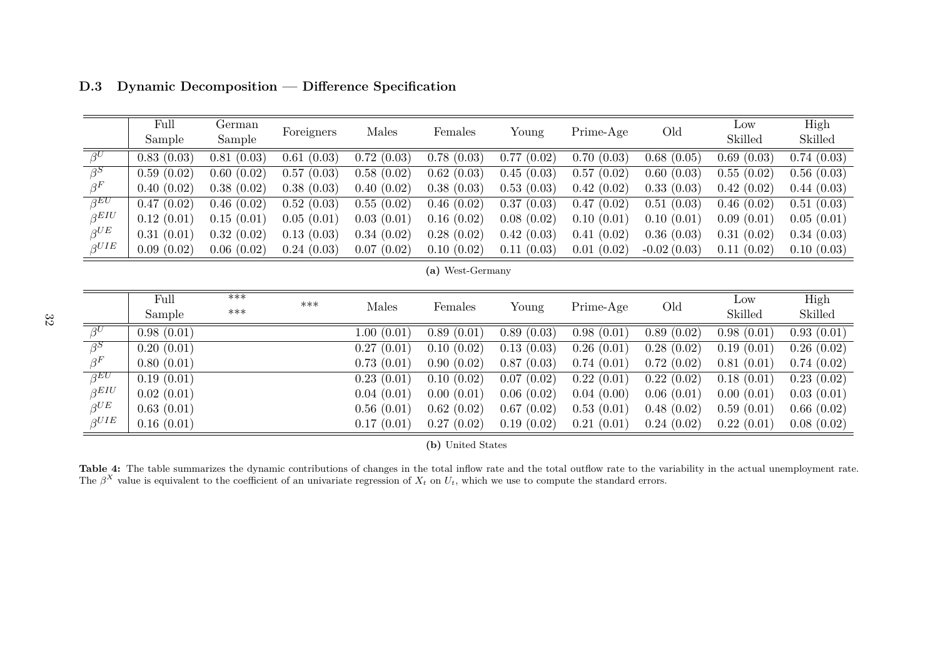|                         | Full       | German     |            |            |                  |                            |            |               | Low        | High       |
|-------------------------|------------|------------|------------|------------|------------------|----------------------------|------------|---------------|------------|------------|
|                         | Sample     | Sample     | Foreigners | Males      | Females          | Young                      | Prime-Age  | Old           | Skilled    | Skilled    |
| $\beta^U$               | 0.83(0.03) | 0.81(0.03) | 0.61(0.03) | 0.72(0.03) | 0.78(0.03)       | $\overline{0.77}$ $(0.02)$ | 0.70(0.03) | 0.68(0.05)    | 0.69(0.03) | 0.74(0.03) |
| $\overline{\beta^S}$    | 0.59(0.02) | 0.60(0.02) | 0.57(0.03) | 0.58(0.02) | 0.62(0.03)       | 0.45(0.03)                 | 0.57(0.02) | 0.60(0.03)    | 0.55(0.02) | 0.56(0.03) |
| $\beta^F$               | 0.40(0.02) | 0.38(0.02) | 0.38(0.03) | 0.40(0.02) | 0.38(0.03)       | 0.53(0.03)                 | 0.42(0.02) | 0.33(0.03)    | 0.42(0.02) | 0.44(0.03) |
| $\beta$ EU              | 0.47(0.02) | 0.46(0.02) | 0.52(0.03) | 0.55(0.02) | 0.46(0.02)       | 0.37(0.03)                 | 0.47(0.02) | 0.51(0.03)    | 0.46(0.02) | 0.51(0.03) |
| $\beta$ <i>EIU</i>      | 0.12(0.01) | 0.15(0.01) | 0.05(0.01) | 0.03(0.01) | 0.16(0.02)       | 0.08(0.02)                 | 0.10(0.01) | 0.10(0.01)    | 0.09(0.01) | 0.05(0.01) |
| $\beta$ UE              | 0.31(0.01) | 0.32(0.02) | 0.13(0.03) | 0.34(0.02) | 0.28(0.02)       | 0.42(0.03)                 | 0.41(0.02) | 0.36(0.03)    | 0.31(0.02) | 0.34(0.03) |
| $\beta$ UIE             | 0.09(0.02) | 0.06(0.02) | 0.24(0.03) | 0.07(0.02) | 0.10(0.02)       | 0.11(0.03)                 | 0.01(0.02) | $-0.02(0.03)$ | 0.11(0.02) | 0.10(0.03) |
|                         |            |            |            |            | (a) West-Germany |                            |            |               |            |            |
|                         |            |            |            |            |                  |                            |            |               |            |            |
|                         | Full       | $***$      | $***$      | Males      |                  |                            | Prime-Age  |               | Low        | High       |
|                         | Sample     | $***$      |            |            | Females          | Young                      |            | Old           | Skilled    | Skilled    |
| $\beta^U$               | 0.98(0.01) |            |            | 1.00(0.01) | 0.89(0.01)       | 0.89(0.03)                 | 0.98(0.01) | 0.89(0.02)    | 0.98(0.01) | 0.93(0.01) |
| $\overline{\beta^S}$    | 0.20(0.01) |            |            | 0.27(0.01) | 0.10(0.02)       | 0.13(0.03)                 | 0.26(0.01) | 0.28(0.02)    | 0.19(0.01) | 0.26(0.02) |
| $\beta^F$               | 0.80(0.01) |            |            | 0.73(0.01) | 0.90(0.02)       | 0.87(0.03)                 | 0.74(0.01) | 0.72(0.02)    | 0.81(0.01) | 0.74(0.02) |
| $\overline{\beta^{EU}}$ | 0.19(0.01) |            |            | 0.23(0.01) | 0.10(0.02)       | 0.07(0.02)                 | 0.22(0.01) | 0.22(0.02)    | 0.18(0.01) | 0.23(0.02) |
| $\beta$ <i>EIU</i>      | 0.02(0.01) |            |            | 0.04(0.01) | 0.00(0.01)       | 0.06(0.02)                 | 0.04(0.00) | 0.06(0.01)    | 0.00(0.01) | 0.03(0.01) |
| $\beta U E$             | 0.63(0.01) |            |            | 0.56(0.01) | 0.62(0.02)       | 0.67(0.02)                 | 0.53(0.01) | 0.48(0.02)    | 0.59(0.01) | 0.66(0.02) |

<span id="page-32-2"></span><span id="page-32-1"></span>**D.3 Dynamic Decomposition — Difference Specification**

**(b)** United States

 $\begin{array}{llll} E&=&0.16\,\, (0.01) \qquad \qquad & 0.17\,\, (0.01)&~~0.27\,\, (0.02)&~~0.19\,\, (0.02)&~~0.21\,\, (0.01)&~~0.24\,\, (0.02)&~~0.22\,\, (0.01)&~~0.08\,\, (0.02)&~~0.00&~~0.01&~~0.01&~~0.02&~~0.01&~~0.02&~~0.02&~~0.01&~~0.02&~~0.01&~~0.02&~~0.02&~~0.01&~~0.02&~~0.02&~~$ 

 $0.08(0.02)$ 

<span id="page-32-0"></span>**Table 4:** The table summarizes the dynamic contributions of changes in the total inflow rate and the total outflow rate to the variability in the actual unemployment rate. The  $\beta^X$  value is equivalent to the coefficient of an univariate regression of  $X_t$  on  $U_t$ , which we use to compute the standard errors.

 $\beta$ *UIE*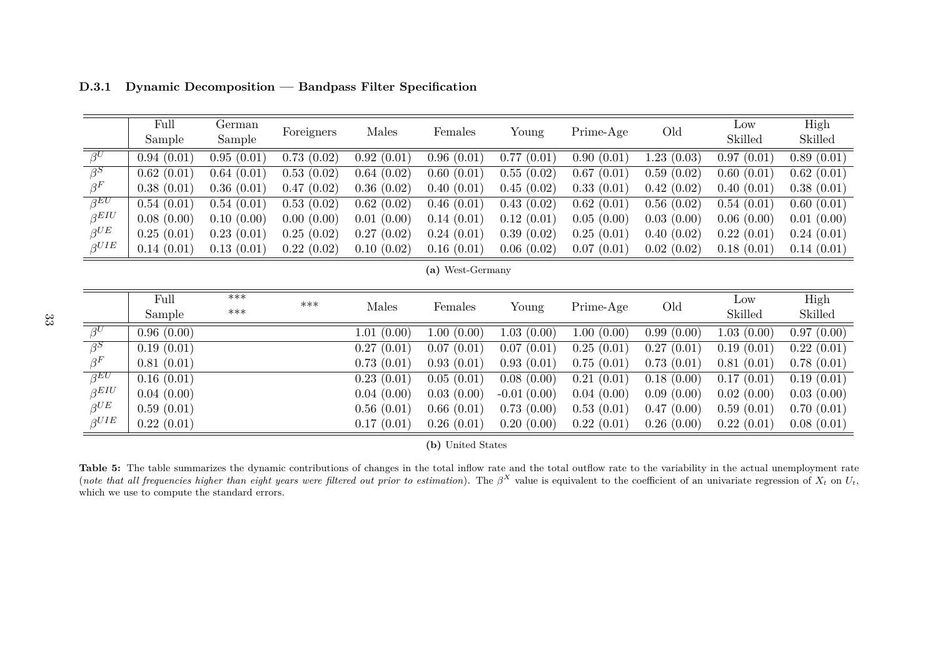|                         | Full<br>Sample | German<br>Sample | Foreigners | Males      | Females          | Young         | Prime-Age  | Old        | Low<br>Skilled | High<br>Skilled |
|-------------------------|----------------|------------------|------------|------------|------------------|---------------|------------|------------|----------------|-----------------|
| $\overline{\beta^U}$    | 0.94(0.01)     | 0.95(0.01)       | 0.73(0.02) | 0.92(0.01) | 0.96(0.01)       | 0.77(0.01)    | 0.90(0.01) | 1.23(0.03) | 0.97(0.01)     | 0.89(0.01)      |
| $\beta^S$               | 0.62(0.01)     | 0.64(0.01)       | 0.53(0.02) | 0.64(0.02) | 0.60(0.01)       | 0.55(0.02)    | 0.67(0.01) | 0.59(0.02) | 0.60(0.01)     | 0.62(0.01)      |
| $\beta^F$               | 0.38(0.01)     | 0.36(0.01)       | 0.47(0.02) | 0.36(0.02) | 0.40(0.01)       | 0.45(0.02)    | 0.33(0.01) | 0.42(0.02) | 0.40(0.01)     | 0.38(0.01)      |
| $\overline{\beta^{EU}}$ | 0.54(0.01)     | 0.54(0.01)       | 0.53(0.02) | 0.62(0.02) | 0.46(0.01)       | 0.43(0.02)    | 0.62(0.01) | 0.56(0.02) | 0.54(0.01)     | 0.60(0.01)      |
| $\beta$ EIU             | 0.08(0.00)     | 0.10(0.00)       | 0.00(0.00) | 0.01(0.00) | 0.14(0.01)       | 0.12(0.01)    | 0.05(0.00) | 0.03(0.00) | 0.06(0.00)     | 0.01(0.00)      |
| $\beta^{UE}$            | 0.25(0.01)     | 0.23(0.01)       | 0.25(0.02) | 0.27(0.02) | 0.24(0.01)       | 0.39(0.02)    | 0.25(0.01) | 0.40(0.02) | 0.22(0.01)     | 0.24(0.01)      |
| $\beta UIE$             | 0.14(0.01)     | 0.13(0.01)       | 0.22(0.02) | 0.10(0.02) | 0.16(0.01)       | 0.06(0.02)    | 0.07(0.01) | 0.02(0.02) | 0.18(0.01)     | 0.14(0.01)      |
|                         |                |                  |            |            | (a) West-Germany |               |            |            |                |                 |
|                         | Full           | $***$            |            |            |                  |               |            |            | Low            | High            |
|                         | Sample         | $***$            | $***$      | Males      | Females          | Young         | Prime-Age  | Old        | Skilled        | Skilled         |
| $\overline{\beta^{U}}$  | 0.96(0.00)     |                  |            | 1.01(0.00) | 1.00(0.00)       | 1.03(0.00)    | 1.00(0.00) | 0.99(0.00) | 1.03(0.00)     | 0.97(0.00)      |
| $\overline{\beta^S}$    | 0.19(0.01)     |                  |            | 0.27(0.01) | 0.07(0.01)       | 0.07(0.01)    | 0.25(0.01) | 0.27(0.01) | 0.19(0.01)     | 0.22(0.01)      |
| $\beta^F$               | 0.81(0.01)     |                  |            | 0.73(0.01) | 0.93(0.01)       | 0.93(0.01)    | 0.75(0.01) | 0.73(0.01) | 0.81(0.01)     | 0.78(0.01)      |
| $\beta$ EU              | 0.16(0.01)     |                  |            | 0.23(0.01) | 0.05(0.01)       | 0.08(0.00)    | 0.21(0.01) | 0.18(0.00) | 0.17(0.01)     | 0.19(0.01)      |
| $\beta$ <i>EIU</i>      | 0.04(0.00)     |                  |            | 0.04(0.00) | 0.03(0.00)       | $-0.01(0.00)$ | 0.04(0.00) | 0.09(0.00) | 0.02(0.00)     | 0.03(0.00)      |
| $\beta$ UE              | 0.59(0.01)     |                  |            | 0.56(0.01) | 0.66(0.01)       | 0.73(0.00)    | 0.53(0.01) | 0.47(0.00) | 0.59(0.01)     | 0.70(0.01)      |
| $\beta^{UIE}$           | 0.22(0.01)     |                  |            | 0.17(0.01) | 0.26(0.01)       | 0.20(0.00)    | 0.22(0.01) | 0.26(0.00) | 0.22(0.01)     | 0.08(0.01)      |

**D.3.1 Dynamic Decomposition — Bandpass Filter Specification**

**(b)** United States

<span id="page-33-0"></span>**Table 5:** The table summarizes the dynamic contributions of changes in the total inflow rate and the total outflow rate to the variability in the actual unemployment rate (note that all frequencies higher than eight year which we use to compute the standard errors.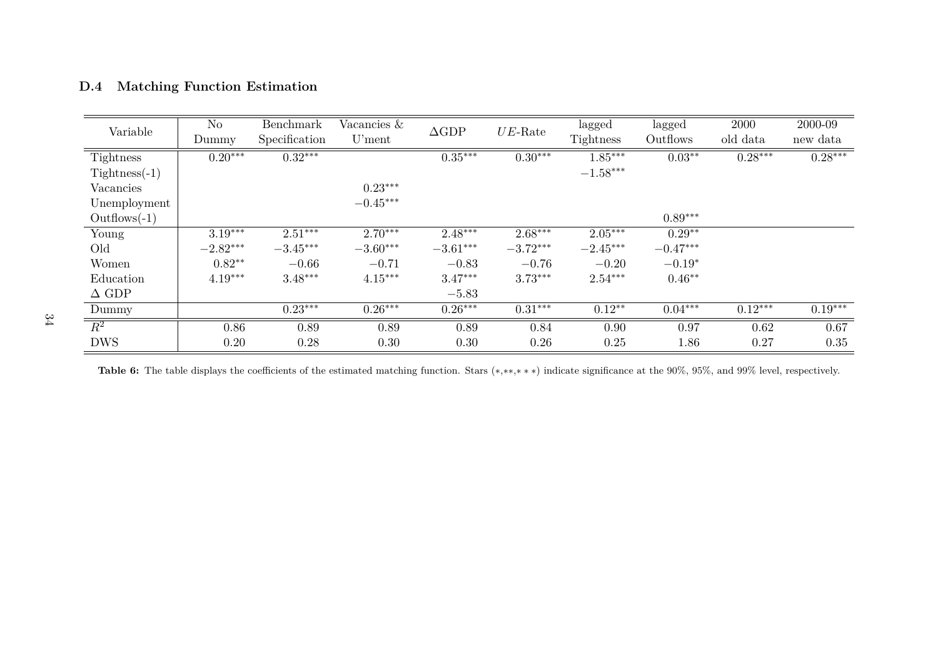| D.4 |  |  |  |  | <b>Matching Function Estimation</b> |  |  |  |
|-----|--|--|--|--|-------------------------------------|--|--|--|
|-----|--|--|--|--|-------------------------------------|--|--|--|

| Variable         | N <sub>o</sub> | Benchmark     | Vacancies $&$ | $\triangle$ GDP | $UE$ -Rate | lagged     | lagged     | 2000      | 2000-09   |
|------------------|----------------|---------------|---------------|-----------------|------------|------------|------------|-----------|-----------|
|                  | Dummy          | Specification | U'ment        |                 |            | Tightness  | Outflows   | old data  | new data  |
| <b>Tightness</b> | $0.20***$      | $0.32***$     |               | $0.35***$       | $0.30***$  | $1.85***$  | $0.03***$  | $0.28***$ | $0.28***$ |
| $Tightness(-1)$  |                |               |               |                 |            | $-1.58***$ |            |           |           |
| Vacancies        |                |               | $0.23***$     |                 |            |            |            |           |           |
| Unemployment     |                |               | $-0.45***$    |                 |            |            |            |           |           |
| $Outflows(-1)$   |                |               |               |                 |            |            | $0.89***$  |           |           |
| Young            | $3.19***$      | $2.51***$     | $2.70***$     | $2.48***$       | $2.68***$  | $2.05***$  | $0.29**$   |           |           |
| Old              | $-2.82***$     | $-3.45***$    | $-3.60***$    | $-3.61***$      | $-3.72***$ | $-2.45***$ | $-0.47***$ |           |           |
| Women            | $0.82**$       | $-0.66$       | $-0.71$       | $-0.83$         | $-0.76$    | $-0.20$    | $-0.19*$   |           |           |
| Education        | $4.19***$      | $3.48***$     | $4.15***$     | $3.47***$       | $3.73***$  | $2.54***$  | $0.46**$   |           |           |
| $\Delta$ GDP     |                |               |               | $-5.83$         |            |            |            |           |           |
| Dummy            |                | $0.23***$     | $0.26***$     | $0.26***$       | $0.31***$  | $0.12**$   | $0.04***$  | $0.12***$ | $0.19***$ |
| $\overline{R^2}$ | 0.86           | 0.89          | 0.89          | 0.89            | 0.84       | 0.90       | 0.97       | 0.62      | 0.67      |
| <b>DWS</b>       | 0.20           | 0.28          | 0.30          | 0.30            | 0.26       | 0.25       | 1.86       | 0.27      | 0.35      |

<span id="page-34-0"></span>**Table 6:** The table displays the coefficients of the estimated matching function. Stars (<sup>∗</sup>,∗∗,<sup>∗</sup> <sup>∗</sup> <sup>∗</sup>) indicate significance at the 90%, 95%, and 99% level, respectively.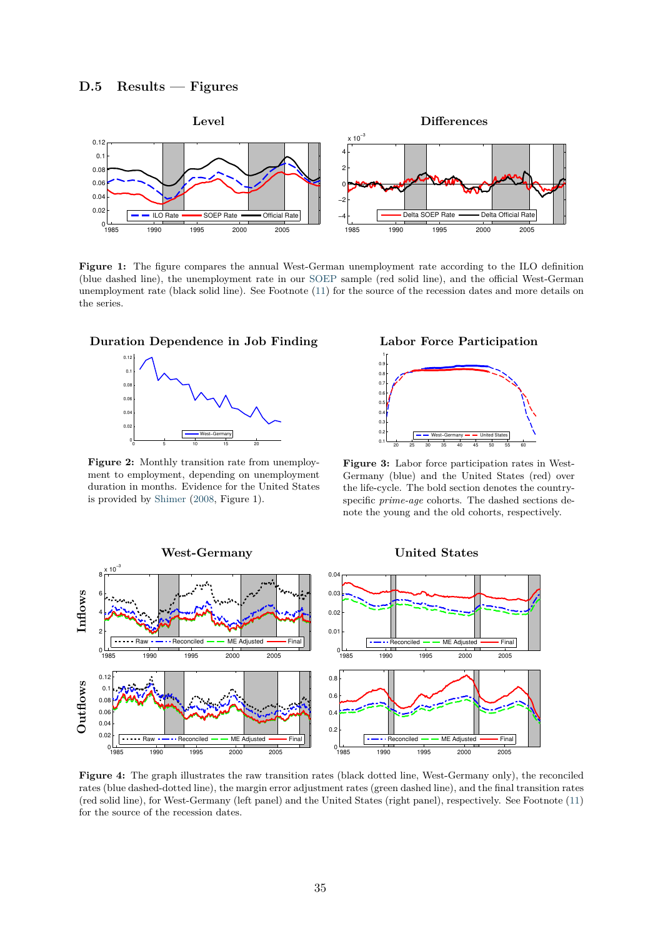<span id="page-35-0"></span>

**Figure 1:** The figure compares the annual West-German unemployment rate according to the ILO definition (blue dashed line), the unemployment rate in our [SOEP](#page-24-4) sample (red solid line), and the official West-German unemployment rate (black solid line). See Footnote [\(11\)](#page-4-0) for the source of the recession dates and more details on the series.

<span id="page-35-1"></span>



**Figure 2:** Monthly transition rate from unemployment to employment, depending on unemployment duration in months. Evidence for the United States is provided by [Shimer](#page-24-16) [\(2008,](#page-24-16) Figure 1).





**Figure 3:** Labor force participation rates in West-Germany (blue) and the United States (red) over the life-cycle. The bold section denotes the countryspecific *prime-age* cohorts. The dashed sections denote the young and the old cohorts, respectively.

<span id="page-35-2"></span>

**Figure 4:** The graph illustrates the raw transition rates (black dotted line, West-Germany only), the reconciled rates (blue dashed-dotted line), the margin error adjustment rates (green dashed line), and the final transition rates (red solid line), for West-Germany (left panel) and the United States (right panel), respectively. See Footnote [\(11\)](#page-4-0) for the source of the recession dates.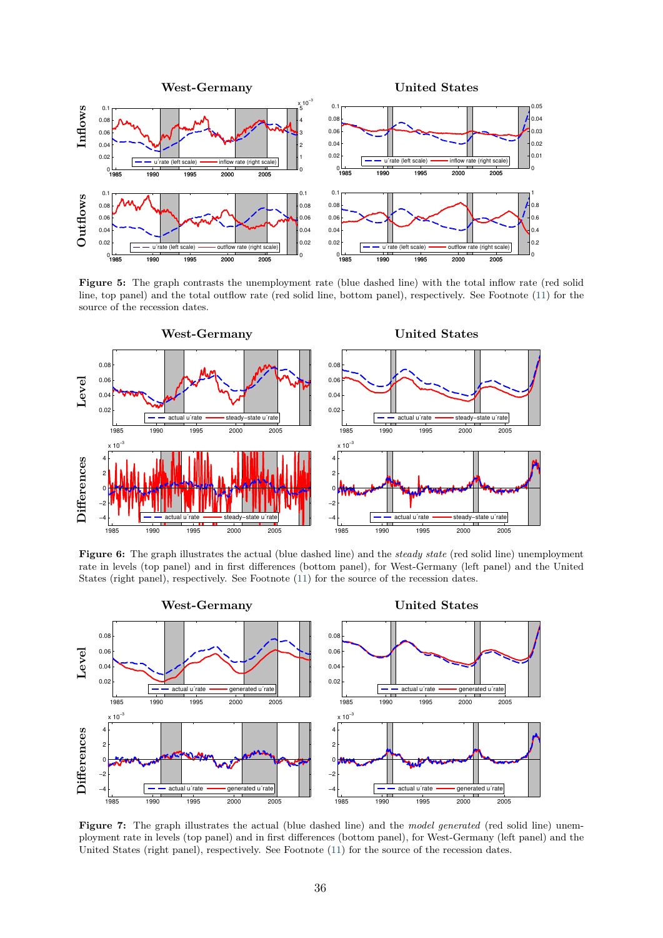<span id="page-36-0"></span>

**Figure 5:** The graph contrasts the unemployment rate (blue dashed line) with the total inflow rate (red solid line, top panel) and the total outflow rate (red solid line, bottom panel), respectively. See Footnote [\(11\)](#page-4-0) for the source of the recession dates.

<span id="page-36-1"></span>

**Figure 6:** The graph illustrates the actual (blue dashed line) and the *steady state* (red solid line) unemployment rate in levels (top panel) and in first differences (bottom panel), for West-Germany (left panel) and the United States (right panel), respectively. See Footnote [\(11\)](#page-4-0) for the source of the recession dates.

<span id="page-36-2"></span>

**Figure 7:** The graph illustrates the actual (blue dashed line) and the *model generated* (red solid line) unemployment rate in levels (top panel) and in first differences (bottom panel), for West-Germany (left panel) and the United States (right panel), respectively. See Footnote [\(11\)](#page-4-0) for the source of the recession dates.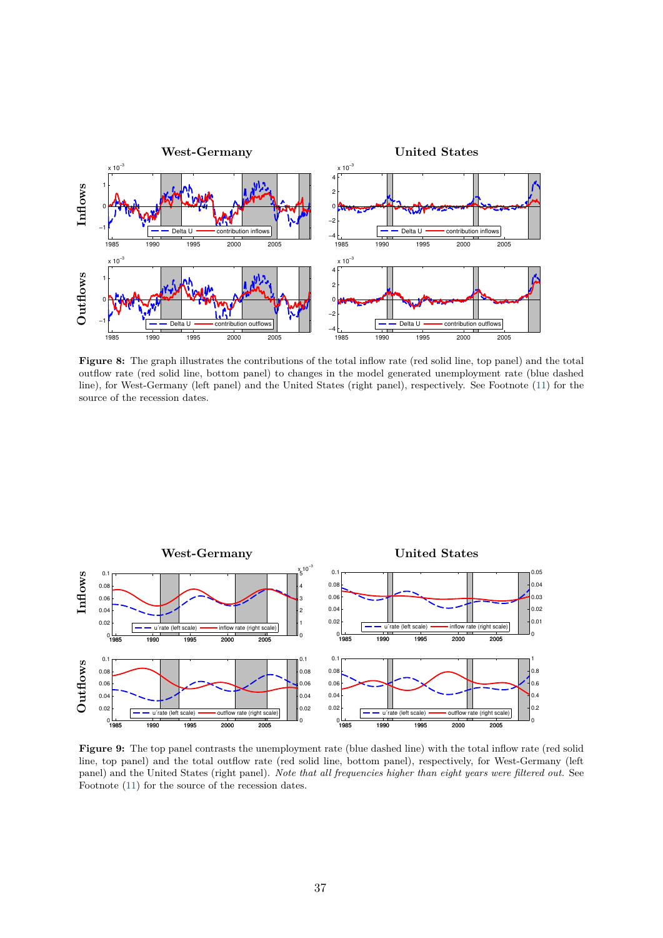<span id="page-37-0"></span>

**Figure 8:** The graph illustrates the contributions of the total inflow rate (red solid line, top panel) and the total outflow rate (red solid line, bottom panel) to changes in the model generated unemployment rate (blue dashed line), for West-Germany (left panel) and the United States (right panel), respectively. See Footnote [\(11\)](#page-4-0) for the source of the recession dates.

<span id="page-37-1"></span>

**Figure 9:** The top panel contrasts the unemployment rate (blue dashed line) with the total inflow rate (red solid line, top panel) and the total outflow rate (red solid line, bottom panel), respectively, for West-Germany (left panel) and the United States (right panel). *Note that all frequencies higher than eight years were filtered out.* See Footnote [\(11\)](#page-4-0) for the source of the recession dates.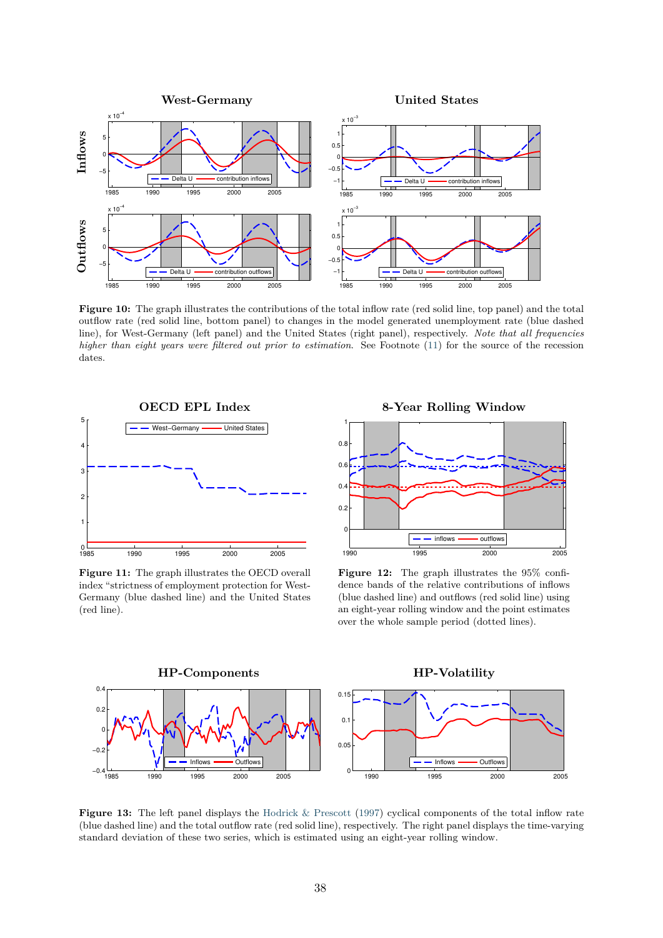<span id="page-38-0"></span>

**Figure 10:** The graph illustrates the contributions of the total inflow rate (red solid line, top panel) and the total outflow rate (red solid line, bottom panel) to changes in the model generated unemployment rate (blue dashed line), for West-Germany (left panel) and the United States (right panel), respectively. *Note that all frequencies higher than eight years were filtered out prior to estimation*. See Footnote [\(11\)](#page-4-0) for the source of the recession dates.

<span id="page-38-1"></span>

**Figure 11:** The graph illustrates the OECD overall index "strictness of employment protection for West-Germany (blue dashed line) and the United States (red line).

**8-Year Rolling Window**



**Figure 12:** The graph illustrates the 95% confidence bands of the relative contributions of inflows (blue dashed line) and outflows (red solid line) using an eight-year rolling window and the point estimates over the whole sample period (dotted lines).

<span id="page-38-2"></span>

**Figure 13:** The left panel displays the [Hodrick & Prescott](#page-22-18) [\(1997\)](#page-22-18) cyclical components of the total inflow rate (blue dashed line) and the total outflow rate (red solid line), respectively. The right panel displays the time-varying standard deviation of these two series, which is estimated using an eight-year rolling window.